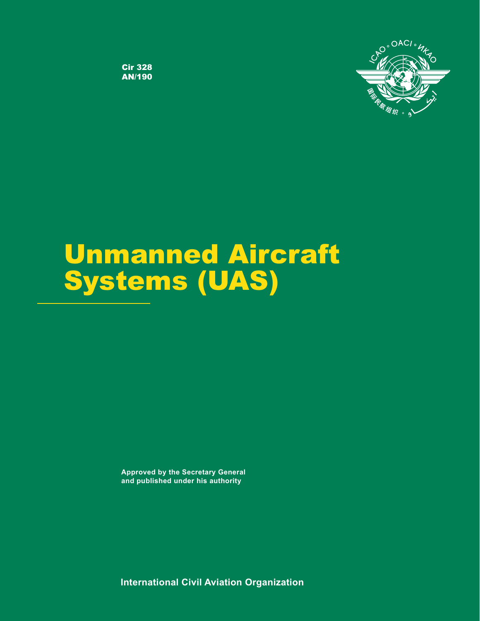

Cir 328 AN/190

# Unmanned Aircraft Systems (UAS)

**Approved by the Secretary General and published under his authority**

**International Civil Aviation Organization**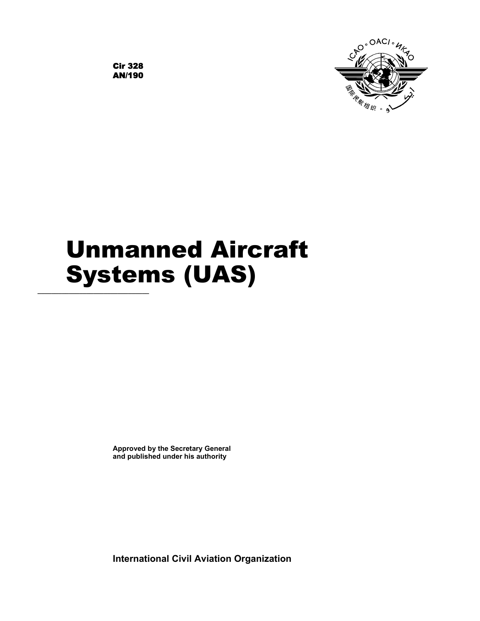

Cir 328 AN/190

# Unmanned Aircraft Systems (UAS)

**Approved by the Secretary General and published under his authority** 

**International Civil Aviation Organization**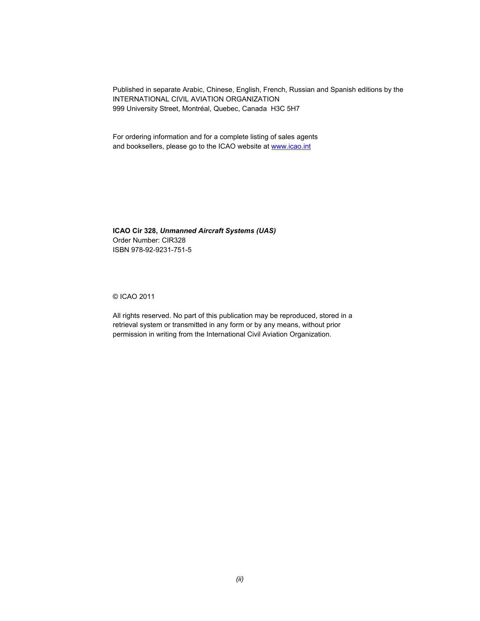Published in separate Arabic, Chinese, English, French, Russian and Spanish editions by the INTERNATIONAL CIVIL AVIATION ORGANIZATION 999 University Street, Montréal, Quebec, Canada H3C 5H7

For ordering information and for a complete listing of sales agents and booksellers, please go to the ICAO website at www.icao.int

**ICAO Cir 328,** *Unmanned Aircraft Systems (UAS)* Order Number: CIR328 ISBN 978-92-9231-751-5

© ICAO 2011

All rights reserved. No part of this publication may be reproduced, stored in a retrieval system or transmitted in any form or by any means, without prior permission in writing from the International Civil Aviation Organization.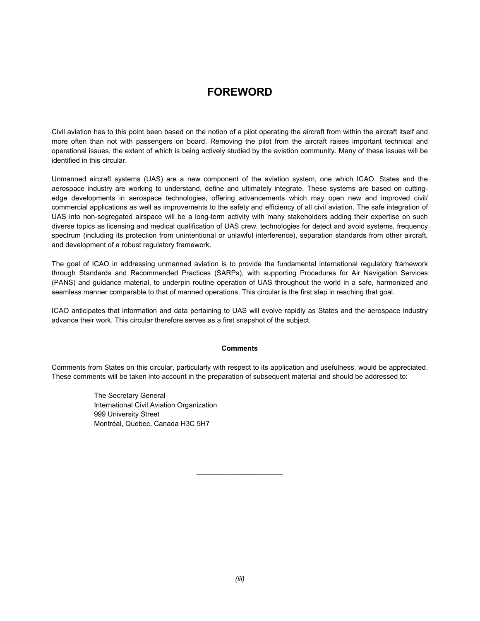# **FOREWORD**

Civil aviation has to this point been based on the notion of a pilot operating the aircraft from within the aircraft itself and more often than not with passengers on board. Removing the pilot from the aircraft raises important technical and operational issues, the extent of which is being actively studied by the aviation community. Many of these issues will be identified in this circular.

Unmanned aircraft systems (UAS) are a new component of the aviation system, one which ICAO, States and the aerospace industry are working to understand, define and ultimately integrate. These systems are based on cuttingedge developments in aerospace technologies, offering advancements which may open new and improved civil/ commercial applications as well as improvements to the safety and efficiency of all civil aviation. The safe integration of UAS into non-segregated airspace will be a long-term activity with many stakeholders adding their expertise on such diverse topics as licensing and medical qualification of UAS crew, technologies for detect and avoid systems, frequency spectrum (including its protection from unintentional or unlawful interference), separation standards from other aircraft, and development of a robust regulatory framework.

The goal of ICAO in addressing unmanned aviation is to provide the fundamental international regulatory framework through Standards and Recommended Practices (SARPs), with supporting Procedures for Air Navigation Services (PANS) and guidance material, to underpin routine operation of UAS throughout the world in a safe, harmonized and seamless manner comparable to that of manned operations. This circular is the first step in reaching that goal.

ICAO anticipates that information and data pertaining to UAS will evolve rapidly as States and the aerospace industry advance their work. This circular therefore serves as a first snapshot of the subject.

## **Comments**

Comments from States on this circular, particularly with respect to its application and usefulness, would be appreciated. These comments will be taken into account in the preparation of subsequent material and should be addressed to:

 $\mathcal{L}_\text{max}$  , where  $\mathcal{L}_\text{max}$ 

 The Secretary General International Civil Aviation Organization 999 University Street Montréal, Quebec, Canada H3C 5H7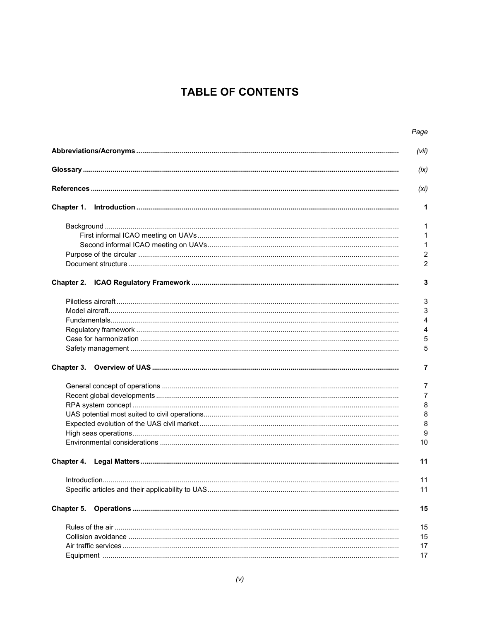# **TABLE OF CONTENTS**

|            | Page              |
|------------|-------------------|
|            | (vii)             |
|            | (ix)              |
|            | (x <sub>i</sub> ) |
| Chapter 1. |                   |
|            | 1                 |
|            |                   |
|            | 1                 |
|            | $\overline{2}$    |
|            | $\overline{2}$    |
| Chapter 2. | 3                 |
|            | 3                 |
|            | 3                 |
|            | 4                 |
|            | 4                 |
|            | 5                 |
|            | 5                 |
|            | 7                 |
|            | 7                 |
|            | 7                 |
|            | 8                 |
|            | 8                 |
|            | 8                 |
|            | 9                 |
|            | 10                |
|            | 11                |
|            | 11                |
|            | 11                |
| Chapter 5. | 15                |
|            | 15                |
|            | 15                |
|            | 17                |
|            | 17                |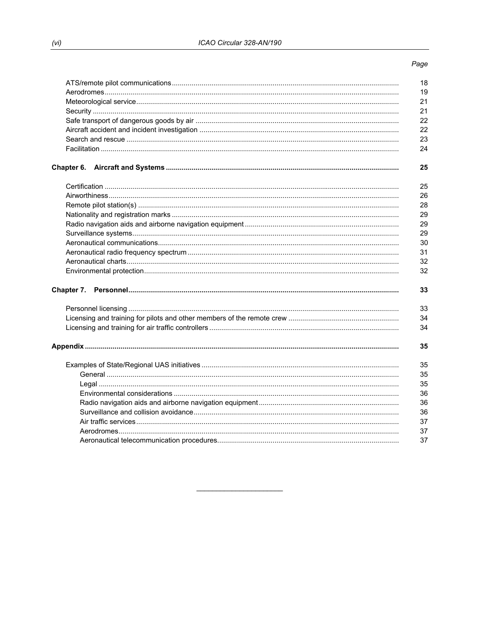# Page

|            | 18 |
|------------|----|
|            | 19 |
|            | 21 |
|            | 21 |
|            | 22 |
|            | 22 |
|            | 23 |
|            | 24 |
| Chapter 6. | 25 |
|            | 25 |
|            | 26 |
|            | 28 |
|            | 29 |
|            | 29 |
|            | 29 |
|            | 30 |
|            | 31 |
|            | 32 |
|            | 32 |
|            |    |
|            | 33 |
|            |    |
|            | 33 |
|            | 34 |
|            | 34 |
|            | 35 |
|            |    |
|            | 35 |
|            | 35 |
|            | 35 |
|            | 36 |
|            | 36 |
|            | 36 |
|            | 37 |
|            | 37 |
|            | 37 |
|            |    |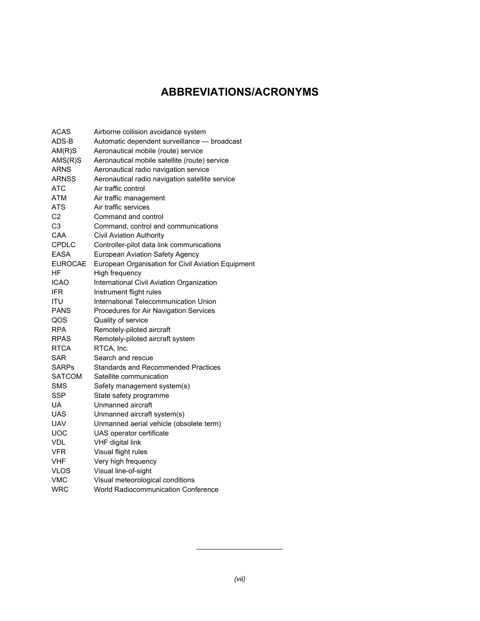# **ABBREVIATIONS/ACRONYMS**

| ACAS           | Airborne collision avoidance system                |
|----------------|----------------------------------------------------|
| ADS-B          | Automatic dependent surveillance - broadcast       |
| AM(R)S         | Aeronautical mobile (route) service                |
| $AMS(R)$ S     | Aeronautical mobile satellite (route) service      |
| <b>ARNS</b>    | Aeronautical radio navigation service              |
| <b>ARNSS</b>   | Aeronautical radio navigation satellite service    |
| ATC            | Air traffic control                                |
| <b>ATM</b>     | Air traffic management                             |
| <b>ATS</b>     | Air traffic services                               |
| C <sub>2</sub> | Command and control                                |
| C <sub>3</sub> | Command, control and communications                |
| CAA            | <b>Civil Aviation Authority</b>                    |
| <b>CPDLC</b>   | Controller-pilot data link communications          |
| <b>EASA</b>    | European Aviation Safety Agency                    |
| <b>EUROCAE</b> | European Organisation for Civil Aviation Equipment |
| ΗF             | High frequency                                     |
| <b>ICAO</b>    | International Civil Aviation Organization          |
| <b>IFR</b>     | Instrument flight rules                            |
| ITU            | International Telecommunication Union              |
| <b>PANS</b>    | Procedures for Air Navigation Services             |
| QOS            | Quality of service                                 |
| <b>RPA</b>     | Remotely-piloted aircraft                          |
| <b>RPAS</b>    | Remotely-piloted aircraft system                   |
| <b>RTCA</b>    | RTCA, Inc.                                         |
| SAR            | Search and rescue                                  |
| <b>SARPs</b>   | <b>Standards and Recommended Practices</b>         |
| <b>SATCOM</b>  | Satellite communication                            |
| SMS            | Safety management system(s)                        |
| SSP            | State safety programme                             |
| UA             | Unmanned aircraft                                  |
| <b>UAS</b>     | Unmanned aircraft system(s)                        |
| UAV.           | Unmanned aerial vehicle (obsolete term)            |
| UOC            | UAS operator certificate                           |
| <b>VDL</b>     | VHF digital link                                   |
| <b>VFR</b>     | Visual flight rules                                |
| <b>VHF</b>     | Very high frequency                                |
| <b>VLOS</b>    | Visual line-of-sight                               |
| VMC            | Visual meteorological conditions                   |
| WRC            | <b>World Radiocommunication Conference</b>         |
|                |                                                    |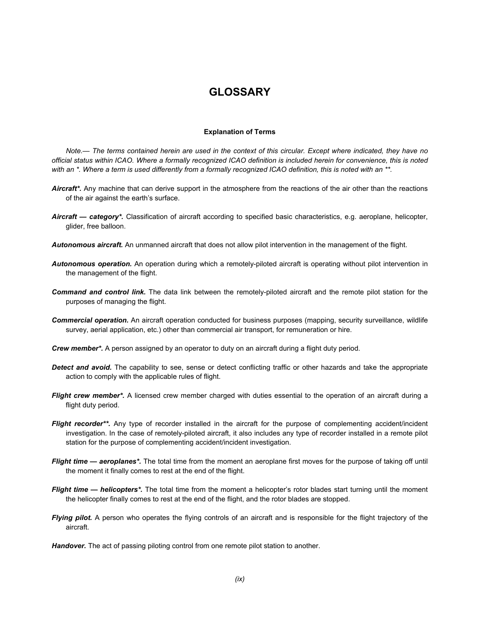# **GLOSSARY**

#### **Explanation of Terms**

 *Note.— The terms contained herein are used in the context of this circular. Except where indicated, they have no official status within ICAO. Where a formally recognized ICAO definition is included herein for convenience, this is noted*  with an \*. Where a term is used differently from a formally recognized ICAO definition, this is noted with an \*\*.

- *Aircraft\*.* Any machine that can derive support in the atmosphere from the reactions of the air other than the reactions of the air against the earth's surface.
- *Aircraft category\*.* Classification of aircraft according to specified basic characteristics, e.g. aeroplane, helicopter, glider, free balloon.
- *Autonomous aircraft.* An unmanned aircraft that does not allow pilot intervention in the management of the flight.
- *Autonomous operation.* An operation during which a remotely-piloted aircraft is operating without pilot intervention in the management of the flight.
- *Command and control link.* The data link between the remotely-piloted aircraft and the remote pilot station for the purposes of managing the flight.
- *Commercial operation.* An aircraft operation conducted for business purposes (mapping, security surveillance, wildlife survey, aerial application, etc.) other than commercial air transport, for remuneration or hire.
- *Crew member\*.* A person assigned by an operator to duty on an aircraft during a flight duty period.
- *Detect and avoid.* The capability to see, sense or detect conflicting traffic or other hazards and take the appropriate action to comply with the applicable rules of flight.
- *Flight crew member\*.* A licensed crew member charged with duties essential to the operation of an aircraft during a flight duty period.
- *Flight recorder\*\*.* Any type of recorder installed in the aircraft for the purpose of complementing accident/incident investigation. In the case of remotely-piloted aircraft, it also includes any type of recorder installed in a remote pilot station for the purpose of complementing accident/incident investigation.
- *Flight time aeroplanes\*.* The total time from the moment an aeroplane first moves for the purpose of taking off until the moment it finally comes to rest at the end of the flight.
- *Flight time helicopters\*.* The total time from the moment a helicopter's rotor blades start turning until the moment the helicopter finally comes to rest at the end of the flight, and the rotor blades are stopped.
- *Flying pilot.* A person who operates the flying controls of an aircraft and is responsible for the flight trajectory of the aircraft.
- *Handover.* The act of passing piloting control from one remote pilot station to another.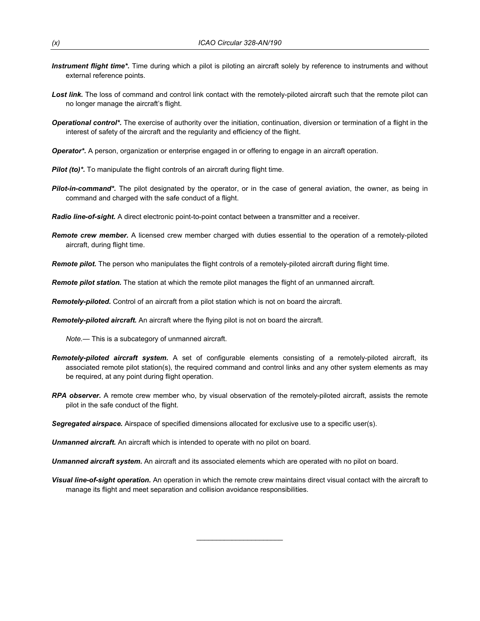- *Instrument flight time\*.* Time during which a pilot is piloting an aircraft solely by reference to instruments and without external reference points.
- Lost link. The loss of command and control link contact with the remotely-piloted aircraft such that the remote pilot can no longer manage the aircraft's flight.
- *Operational control\*.* The exercise of authority over the initiation, continuation, diversion or termination of a flight in the interest of safety of the aircraft and the regularity and efficiency of the flight.
- *Operator\*.* A person, organization or enterprise engaged in or offering to engage in an aircraft operation.
- *Pilot (to)<sup>\*</sup>*. To manipulate the flight controls of an aircraft during flight time.
- *Pilot-in-command\*.* The pilot designated by the operator, or in the case of general aviation, the owner, as being in command and charged with the safe conduct of a flight.
- *Radio line-of-sight.* A direct electronic point-to-point contact between a transmitter and a receiver.
- *Remote crew member.* A licensed crew member charged with duties essential to the operation of a remotely-piloted aircraft, during flight time.
- *Remote pilot.* The person who manipulates the flight controls of a remotely-piloted aircraft during flight time.

*Remote pilot station.* The station at which the remote pilot manages the flight of an unmanned aircraft.

*Remotely-piloted.* Control of an aircraft from a pilot station which is not on board the aircraft.

*Remotely-piloted aircraft.* An aircraft where the flying pilot is not on board the aircraft.

 *Note.—* This is a subcategory of unmanned aircraft.

- *Remotely-piloted aircraft system.* A set of configurable elements consisting of a remotely-piloted aircraft, its associated remote pilot station(s), the required command and control links and any other system elements as may be required, at any point during flight operation.
- *RPA observer.* A remote crew member who, by visual observation of the remotely-piloted aircraft, assists the remote pilot in the safe conduct of the flight.

*Segregated airspace.* Airspace of specified dimensions allocated for exclusive use to a specific user(s).

*Unmanned aircraft.* An aircraft which is intended to operate with no pilot on board.

*Unmanned aircraft system.* An aircraft and its associated elements which are operated with no pilot on board.

*Visual line-of-sight operation.* An operation in which the remote crew maintains direct visual contact with the aircraft to manage its flight and meet separation and collision avoidance responsibilities.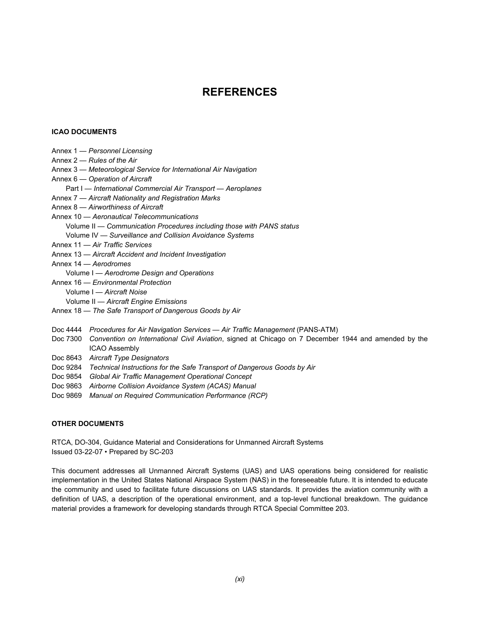# **REFERENCES**

## **ICAO DOCUMENTS**

- Annex 1 *Personnel Licensing* Annex 2 — *Rules of the Air* Annex 3 — *Meteorological Service for International Air Navigation* Annex 6 — *Operation of Aircraft* Part I — *International Commercial Air Transport — Aeroplanes* Annex 7 — *Aircraft Nationality and Registration Marks*
- Annex 8 *Airworthiness of Aircraft*
- Annex 10 *Aeronautical Telecommunications*
	- Volume II *Communication Procedures including those with PANS status*

Volume IV — *Surveillance and Collision Avoidance Systems*

Annex 11 — *Air Traffic Services*

Annex 13 — *Aircraft Accident and Incident Investigation*

Annex 14 — *Aerodromes*

Volume I — *Aerodrome Design and Operations*

- Annex 16 *Environmental Protection* 
	- Volume I *Aircraft Noise* 
		- Volume II *Aircraft Engine Emissions*
- Annex 18 *The Safe Transport of Dangerous Goods by Air*
- Doc 4444 *Procedures for Air Navigation Services Air Traffic Management* (PANS-ATM)
- Doc 7300 *Convention on International Civil Aviation*, signed at Chicago on 7 December 1944 and amended by the ICAO Assembly
- Doc 8643 *Aircraft Type Designators*
- Doc 9284 *Technical Instructions for the Safe Transport of Dangerous Goods by Air*
- Doc 9854 *Global Air Traffic Management Operational Concept*
- Doc 9863 *Airborne Collision Avoidance System (ACAS) Manual*
- Doc 9869 *Manual on Required Communication Performance (RCP)*

## **OTHER DOCUMENTS**

RTCA, DO-304, Guidance Material and Considerations for Unmanned Aircraft Systems Issued 03-22-07 • Prepared by SC-203

This document addresses all Unmanned Aircraft Systems (UAS) and UAS operations being considered for realistic implementation in the United States National Airspace System (NAS) in the foreseeable future. It is intended to educate the community and used to facilitate future discussions on UAS standards. It provides the aviation community with a definition of UAS, a description of the operational environment, and a top-level functional breakdown. The guidance material provides a framework for developing standards through RTCA Special Committee 203.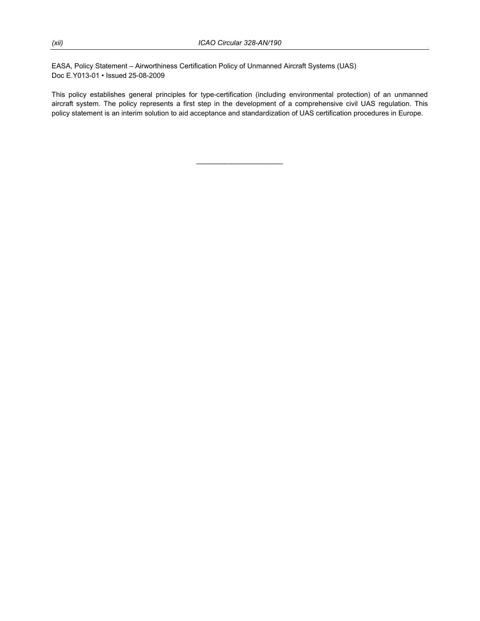EASA, Policy Statement – Airworthiness Certification Policy of Unmanned Aircraft Systems (UAS) Doc E.Y013-01 • Issued 25-08-2009

This policy establishes general principles for type-certification (including environmental protection) of an unmanned aircraft system. The policy represents a first step in the development of a comprehensive civil UAS regulation. This policy statement is an interim solution to aid acceptance and standardization of UAS certification procedures in Europe.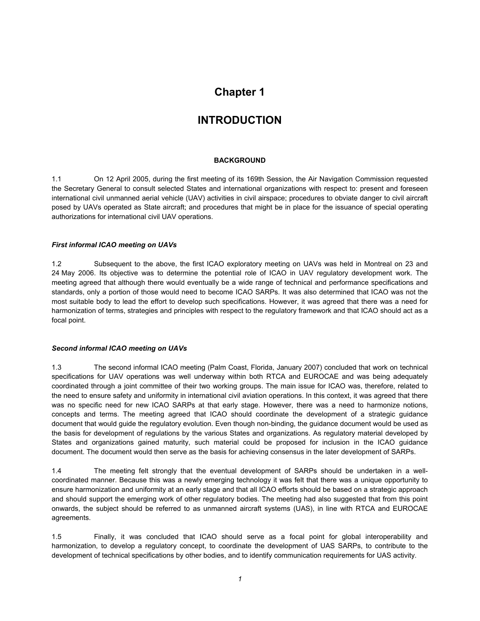# **Chapter 1**

# **INTRODUCTION**

## **BACKGROUND**

1.1 On 12 April 2005, during the first meeting of its 169th Session, the Air Navigation Commission requested the Secretary General to consult selected States and international organizations with respect to: present and foreseen international civil unmanned aerial vehicle (UAV) activities in civil airspace; procedures to obviate danger to civil aircraft posed by UAVs operated as State aircraft; and procedures that might be in place for the issuance of special operating authorizations for international civil UAV operations.

## *First informal ICAO meeting on UAVs*

1.2 Subsequent to the above, the first ICAO exploratory meeting on UAVs was held in Montreal on 23 and 24 May 2006. Its objective was to determine the potential role of ICAO in UAV regulatory development work. The meeting agreed that although there would eventually be a wide range of technical and performance specifications and standards, only a portion of those would need to become ICAO SARPs. It was also determined that ICAO was not the most suitable body to lead the effort to develop such specifications. However, it was agreed that there was a need for harmonization of terms, strategies and principles with respect to the regulatory framework and that ICAO should act as a focal point.

## *Second informal ICAO meeting on UAVs*

1.3 The second informal ICAO meeting (Palm Coast, Florida, January 2007) concluded that work on technical specifications for UAV operations was well underway within both RTCA and EUROCAE and was being adequately coordinated through a joint committee of their two working groups. The main issue for ICAO was, therefore, related to the need to ensure safety and uniformity in international civil aviation operations. In this context, it was agreed that there was no specific need for new ICAO SARPs at that early stage. However, there was a need to harmonize notions, concepts and terms. The meeting agreed that ICAO should coordinate the development of a strategic guidance document that would guide the regulatory evolution. Even though non-binding, the guidance document would be used as the basis for development of regulations by the various States and organizations. As regulatory material developed by States and organizations gained maturity, such material could be proposed for inclusion in the ICAO guidance document. The document would then serve as the basis for achieving consensus in the later development of SARPs.

1.4 The meeting felt strongly that the eventual development of SARPs should be undertaken in a wellcoordinated manner. Because this was a newly emerging technology it was felt that there was a unique opportunity to ensure harmonization and uniformity at an early stage and that all ICAO efforts should be based on a strategic approach and should support the emerging work of other regulatory bodies. The meeting had also suggested that from this point onwards, the subject should be referred to as unmanned aircraft systems (UAS), in line with RTCA and EUROCAE agreements.

1.5 Finally, it was concluded that ICAO should serve as a focal point for global interoperability and harmonization, to develop a regulatory concept, to coordinate the development of UAS SARPs, to contribute to the development of technical specifications by other bodies, and to identify communication requirements for UAS activity.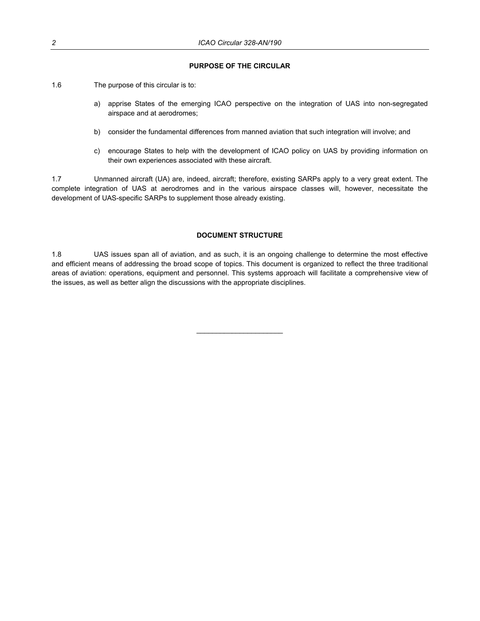#### **PURPOSE OF THE CIRCULAR**

1.6 The purpose of this circular is to:

- a) apprise States of the emerging ICAO perspective on the integration of UAS into non-segregated airspace and at aerodromes;
- b) consider the fundamental differences from manned aviation that such integration will involve; and
- c) encourage States to help with the development of ICAO policy on UAS by providing information on their own experiences associated with these aircraft.

1.7 Unmanned aircraft (UA) are, indeed, aircraft; therefore, existing SARPs apply to a very great extent. The complete integration of UAS at aerodromes and in the various airspace classes will, however, necessitate the development of UAS-specific SARPs to supplement those already existing.

#### **DOCUMENT STRUCTURE**

1.8 UAS issues span all of aviation, and as such, it is an ongoing challenge to determine the most effective and efficient means of addressing the broad scope of topics. This document is organized to reflect the three traditional areas of aviation: operations, equipment and personnel. This systems approach will facilitate a comprehensive view of the issues, as well as better align the discussions with the appropriate disciplines.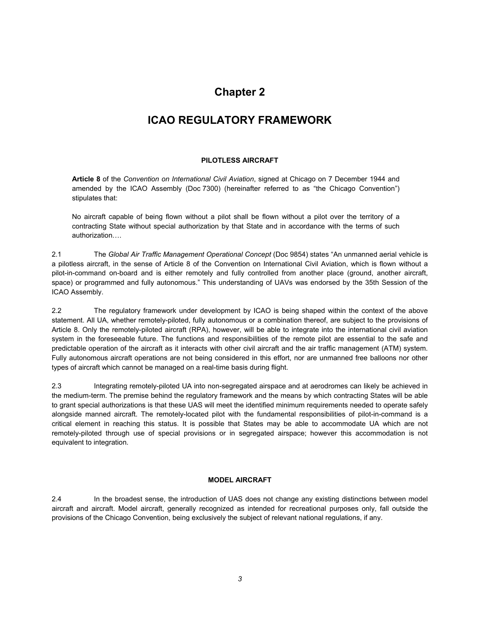# **Chapter 2**

# **ICAO REGULATORY FRAMEWORK**

## **PILOTLESS AIRCRAFT**

**Article 8** of the *Convention on International Civil Aviation*, signed at Chicago on 7 December 1944 and amended by the ICAO Assembly (Doc 7300) (hereinafter referred to as "the Chicago Convention") stipulates that:

No aircraft capable of being flown without a pilot shall be flown without a pilot over the territory of a contracting State without special authorization by that State and in accordance with the terms of such authorization….

2.1 The *Global Air Traffic Management Operational Concept* (Doc 9854) states "An unmanned aerial vehicle is a pilotless aircraft, in the sense of Article 8 of the Convention on International Civil Aviation, which is flown without a pilot-in-command on-board and is either remotely and fully controlled from another place (ground, another aircraft, space) or programmed and fully autonomous." This understanding of UAVs was endorsed by the 35th Session of the ICAO Assembly.

2.2 The regulatory framework under development by ICAO is being shaped within the context of the above statement. All UA, whether remotely-piloted, fully autonomous or a combination thereof, are subject to the provisions of Article 8. Only the remotely-piloted aircraft (RPA), however, will be able to integrate into the international civil aviation system in the foreseeable future. The functions and responsibilities of the remote pilot are essential to the safe and predictable operation of the aircraft as it interacts with other civil aircraft and the air traffic management (ATM) system. Fully autonomous aircraft operations are not being considered in this effort, nor are unmanned free balloons nor other types of aircraft which cannot be managed on a real-time basis during flight.

2.3 Integrating remotely-piloted UA into non-segregated airspace and at aerodromes can likely be achieved in the medium-term. The premise behind the regulatory framework and the means by which contracting States will be able to grant special authorizations is that these UAS will meet the identified minimum requirements needed to operate safely alongside manned aircraft. The remotely-located pilot with the fundamental responsibilities of pilot-in-command is a critical element in reaching this status. It is possible that States may be able to accommodate UA which are not remotely-piloted through use of special provisions or in segregated airspace; however this accommodation is not equivalent to integration.

#### **MODEL AIRCRAFT**

2.4 In the broadest sense, the introduction of UAS does not change any existing distinctions between model aircraft and aircraft. Model aircraft, generally recognized as intended for recreational purposes only, fall outside the provisions of the Chicago Convention, being exclusively the subject of relevant national regulations, if any.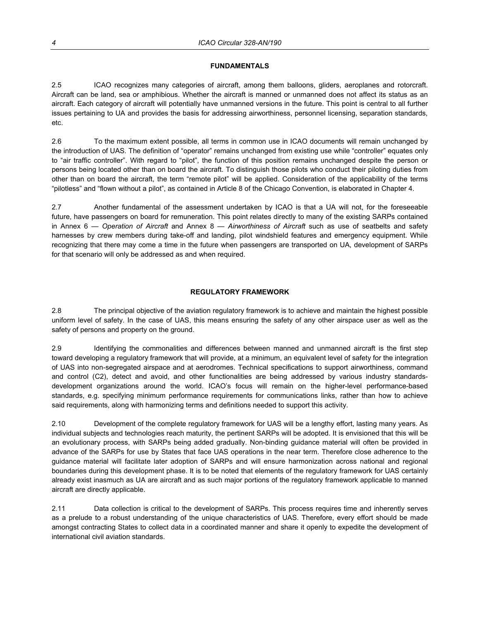#### **FUNDAMENTALS**

2.5 ICAO recognizes many categories of aircraft, among them balloons, gliders, aeroplanes and rotorcraft. Aircraft can be land, sea or amphibious. Whether the aircraft is manned or unmanned does not affect its status as an aircraft. Each category of aircraft will potentially have unmanned versions in the future. This point is central to all further issues pertaining to UA and provides the basis for addressing airworthiness, personnel licensing, separation standards, etc.

2.6 To the maximum extent possible, all terms in common use in ICAO documents will remain unchanged by the introduction of UAS. The definition of "operator" remains unchanged from existing use while "controller" equates only to "air traffic controller". With regard to "pilot", the function of this position remains unchanged despite the person or persons being located other than on board the aircraft. To distinguish those pilots who conduct their piloting duties from other than on board the aircraft, the term "remote pilot" will be applied. Consideration of the applicability of the terms "pilotless" and "flown without a pilot", as contained in Article 8 of the Chicago Convention, is elaborated in Chapter 4.

2.7 Another fundamental of the assessment undertaken by ICAO is that a UA will not, for the foreseeable future, have passengers on board for remuneration. This point relates directly to many of the existing SARPs contained in Annex 6 — *Operation of Aircraft* and Annex 8 — *Airworthiness of Aircraft* such as use of seatbelts and safety harnesses by crew members during take-off and landing, pilot windshield features and emergency equipment. While recognizing that there may come a time in the future when passengers are transported on UA, development of SARPs for that scenario will only be addressed as and when required.

#### **REGULATORY FRAMEWORK**

2.8 The principal objective of the aviation regulatory framework is to achieve and maintain the highest possible uniform level of safety. In the case of UAS, this means ensuring the safety of any other airspace user as well as the safety of persons and property on the ground.

2.9 Identifying the commonalities and differences between manned and unmanned aircraft is the first step toward developing a regulatory framework that will provide, at a minimum, an equivalent level of safety for the integration of UAS into non-segregated airspace and at aerodromes. Technical specifications to support airworthiness, command and control (C2), detect and avoid, and other functionalities are being addressed by various industry standardsdevelopment organizations around the world. ICAO's focus will remain on the higher-level performance-based standards, e.g. specifying minimum performance requirements for communications links, rather than how to achieve said requirements, along with harmonizing terms and definitions needed to support this activity.

2.10 Development of the complete regulatory framework for UAS will be a lengthy effort, lasting many years. As individual subjects and technologies reach maturity, the pertinent SARPs will be adopted. It is envisioned that this will be an evolutionary process, with SARPs being added gradually. Non-binding guidance material will often be provided in advance of the SARPs for use by States that face UAS operations in the near term. Therefore close adherence to the guidance material will facilitate later adoption of SARPs and will ensure harmonization across national and regional boundaries during this development phase. It is to be noted that elements of the regulatory framework for UAS certainly already exist inasmuch as UA are aircraft and as such major portions of the regulatory framework applicable to manned aircraft are directly applicable.

2.11 Data collection is critical to the development of SARPs. This process requires time and inherently serves as a prelude to a robust understanding of the unique characteristics of UAS. Therefore, every effort should be made amongst contracting States to collect data in a coordinated manner and share it openly to expedite the development of international civil aviation standards.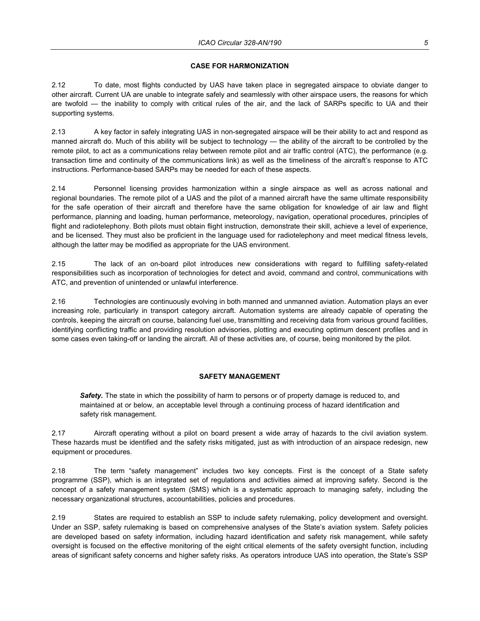## **CASE FOR HARMONIZATION**

2.12 To date, most flights conducted by UAS have taken place in segregated airspace to obviate danger to other aircraft. Current UA are unable to integrate safely and seamlessly with other airspace users, the reasons for which are twofold — the inability to comply with critical rules of the air, and the lack of SARPs specific to UA and their supporting systems.

2.13 A key factor in safely integrating UAS in non-segregated airspace will be their ability to act and respond as manned aircraft do. Much of this ability will be subject to technology — the ability of the aircraft to be controlled by the remote pilot, to act as a communications relay between remote pilot and air traffic control (ATC), the performance (e.g. transaction time and continuity of the communications link) as well as the timeliness of the aircraft's response to ATC instructions. Performance-based SARPs may be needed for each of these aspects.

2.14 Personnel licensing provides harmonization within a single airspace as well as across national and regional boundaries. The remote pilot of a UAS and the pilot of a manned aircraft have the same ultimate responsibility for the safe operation of their aircraft and therefore have the same obligation for knowledge of air law and flight performance, planning and loading, human performance, meteorology, navigation, operational procedures, principles of flight and radiotelephony. Both pilots must obtain flight instruction, demonstrate their skill, achieve a level of experience, and be licensed. They must also be proficient in the language used for radiotelephony and meet medical fitness levels, although the latter may be modified as appropriate for the UAS environment.

2.15 The lack of an on-board pilot introduces new considerations with regard to fulfilling safety-related responsibilities such as incorporation of technologies for detect and avoid, command and control, communications with ATC, and prevention of unintended or unlawful interference.

2.16 Technologies are continuously evolving in both manned and unmanned aviation. Automation plays an ever increasing role, particularly in transport category aircraft. Automation systems are already capable of operating the controls, keeping the aircraft on course, balancing fuel use, transmitting and receiving data from various ground facilities, identifying conflicting traffic and providing resolution advisories, plotting and executing optimum descent profiles and in some cases even taking-off or landing the aircraft. All of these activities are, of course, being monitored by the pilot.

# **SAFETY MANAGEMENT**

**Safety.** The state in which the possibility of harm to persons or of property damage is reduced to, and maintained at or below, an acceptable level through a continuing process of hazard identification and safety risk management.

2.17 Aircraft operating without a pilot on board present a wide array of hazards to the civil aviation system. These hazards must be identified and the safety risks mitigated, just as with introduction of an airspace redesign, new equipment or procedures.

2.18 The term "safety management" includes two key concepts. First is the concept of a State safety programme (SSP), which is an integrated set of regulations and activities aimed at improving safety. Second is the concept of a safety management system (SMS) which is a systematic approach to managing safety, including the necessary organizational structures, accountabilities, policies and procedures.

2.19 States are required to establish an SSP to include safety rulemaking, policy development and oversight. Under an SSP, safety rulemaking is based on comprehensive analyses of the State's aviation system. Safety policies are developed based on safety information, including hazard identification and safety risk management, while safety oversight is focused on the effective monitoring of the eight critical elements of the safety oversight function, including areas of significant safety concerns and higher safety risks. As operators introduce UAS into operation, the State's SSP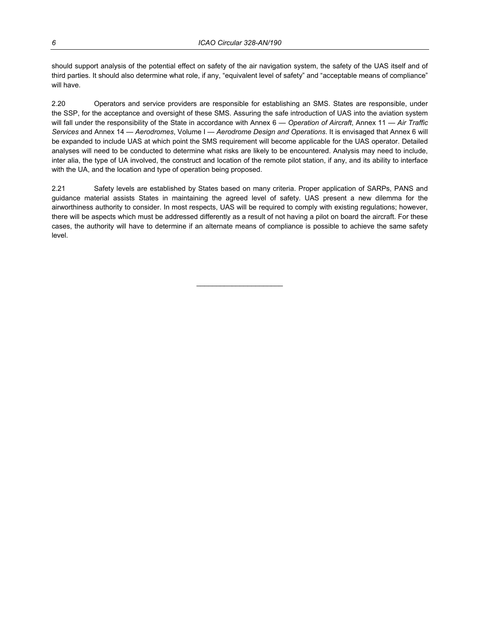should support analysis of the potential effect on safety of the air navigation system, the safety of the UAS itself and of third parties. It should also determine what role, if any, "equivalent level of safety" and "acceptable means of compliance" will have.

2.20 Operators and service providers are responsible for establishing an SMS. States are responsible, under the SSP, for the acceptance and oversight of these SMS. Assuring the safe introduction of UAS into the aviation system will fall under the responsibility of the State in accordance with Annex 6 — *Operation of Aircraft*, Annex 11 — *Air Traffic Services* and Annex 14 — *Aerodromes*, Volume I — *Aerodrome Design and Operations*. It is envisaged that Annex 6 will be expanded to include UAS at which point the SMS requirement will become applicable for the UAS operator. Detailed analyses will need to be conducted to determine what risks are likely to be encountered. Analysis may need to include, inter alia, the type of UA involved, the construct and location of the remote pilot station, if any, and its ability to interface with the UA, and the location and type of operation being proposed.

2.21 Safety levels are established by States based on many criteria. Proper application of SARPs, PANS and guidance material assists States in maintaining the agreed level of safety. UAS present a new dilemma for the airworthiness authority to consider. In most respects, UAS will be required to comply with existing regulations; however, there will be aspects which must be addressed differently as a result of not having a pilot on board the aircraft. For these cases, the authority will have to determine if an alternate means of compliance is possible to achieve the same safety level.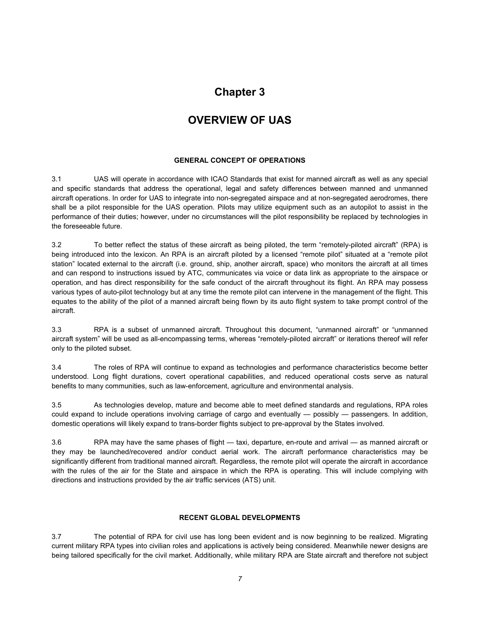# **Chapter 3**

# **OVERVIEW OF UAS**

## **GENERAL CONCEPT OF OPERATIONS**

3.1 UAS will operate in accordance with ICAO Standards that exist for manned aircraft as well as any special and specific standards that address the operational, legal and safety differences between manned and unmanned aircraft operations. In order for UAS to integrate into non-segregated airspace and at non-segregated aerodromes, there shall be a pilot responsible for the UAS operation. Pilots may utilize equipment such as an autopilot to assist in the performance of their duties; however, under no circumstances will the pilot responsibility be replaced by technologies in the foreseeable future.

3.2 To better reflect the status of these aircraft as being piloted, the term "remotely-piloted aircraft" (RPA) is being introduced into the lexicon. An RPA is an aircraft piloted by a licensed "remote pilot" situated at a "remote pilot station" located external to the aircraft (i.e. ground, ship, another aircraft, space) who monitors the aircraft at all times and can respond to instructions issued by ATC, communicates via voice or data link as appropriate to the airspace or operation, and has direct responsibility for the safe conduct of the aircraft throughout its flight. An RPA may possess various types of auto-pilot technology but at any time the remote pilot can intervene in the management of the flight. This equates to the ability of the pilot of a manned aircraft being flown by its auto flight system to take prompt control of the aircraft.

3.3 RPA is a subset of unmanned aircraft. Throughout this document, "unmanned aircraft" or "unmanned aircraft system" will be used as all-encompassing terms, whereas "remotely-piloted aircraft" or iterations thereof will refer only to the piloted subset.

3.4 The roles of RPA will continue to expand as technologies and performance characteristics become better understood. Long flight durations, covert operational capabilities, and reduced operational costs serve as natural benefits to many communities, such as law-enforcement, agriculture and environmental analysis.

3.5 As technologies develop, mature and become able to meet defined standards and regulations, RPA roles could expand to include operations involving carriage of cargo and eventually — possibly — passengers. In addition, domestic operations will likely expand to trans-border flights subject to pre-approval by the States involved.

3.6 RPA may have the same phases of flight — taxi, departure, en-route and arrival — as manned aircraft or they may be launched/recovered and/or conduct aerial work. The aircraft performance characteristics may be significantly different from traditional manned aircraft. Regardless, the remote pilot will operate the aircraft in accordance with the rules of the air for the State and airspace in which the RPA is operating. This will include complying with directions and instructions provided by the air traffic services (ATS) unit.

# **RECENT GLOBAL DEVELOPMENTS**

3.7 The potential of RPA for civil use has long been evident and is now beginning to be realized. Migrating current military RPA types into civilian roles and applications is actively being considered. Meanwhile newer designs are being tailored specifically for the civil market. Additionally, while military RPA are State aircraft and therefore not subject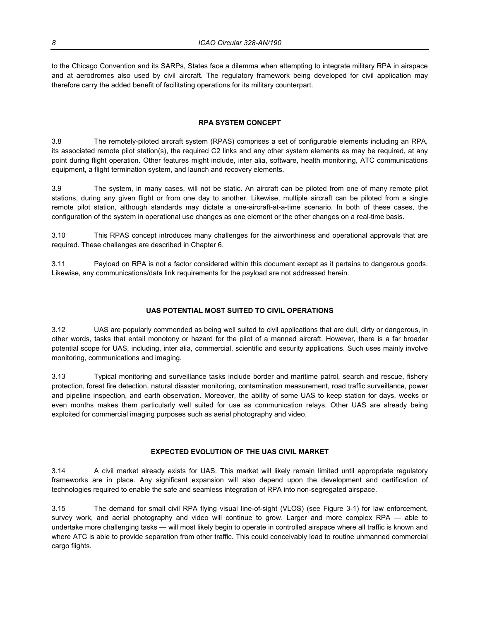to the Chicago Convention and its SARPs, States face a dilemma when attempting to integrate military RPA in airspace and at aerodromes also used by civil aircraft. The regulatory framework being developed for civil application may therefore carry the added benefit of facilitating operations for its military counterpart.

## **RPA SYSTEM CONCEPT**

3.8 The remotely-piloted aircraft system (RPAS) comprises a set of configurable elements including an RPA, its associated remote pilot station(s), the required C2 links and any other system elements as may be required, at any point during flight operation. Other features might include, inter alia, software, health monitoring, ATC communications equipment, a flight termination system, and launch and recovery elements.

3.9 The system, in many cases, will not be static. An aircraft can be piloted from one of many remote pilot stations, during any given flight or from one day to another. Likewise, multiple aircraft can be piloted from a single remote pilot station, although standards may dictate a one-aircraft-at-a-time scenario. In both of these cases, the configuration of the system in operational use changes as one element or the other changes on a real-time basis.

3.10 This RPAS concept introduces many challenges for the airworthiness and operational approvals that are required. These challenges are described in Chapter 6.

3.11 Payload on RPA is not a factor considered within this document except as it pertains to dangerous goods. Likewise, any communications/data link requirements for the payload are not addressed herein.

# **UAS POTENTIAL MOST SUITED TO CIVIL OPERATIONS**

3.12 UAS are popularly commended as being well suited to civil applications that are dull, dirty or dangerous, in other words, tasks that entail monotony or hazard for the pilot of a manned aircraft. However, there is a far broader potential scope for UAS, including, inter alia, commercial, scientific and security applications. Such uses mainly involve monitoring, communications and imaging.

3.13 Typical monitoring and surveillance tasks include border and maritime patrol, search and rescue, fishery protection, forest fire detection, natural disaster monitoring, contamination measurement, road traffic surveillance, power and pipeline inspection, and earth observation. Moreover, the ability of some UAS to keep station for days, weeks or even months makes them particularly well suited for use as communication relays. Other UAS are already being exploited for commercial imaging purposes such as aerial photography and video.

# **EXPECTED EVOLUTION OF THE UAS CIVIL MARKET**

3.14 A civil market already exists for UAS. This market will likely remain limited until appropriate regulatory frameworks are in place. Any significant expansion will also depend upon the development and certification of technologies required to enable the safe and seamless integration of RPA into non-segregated airspace.

3.15 The demand for small civil RPA flying visual line-of-sight (VLOS) (see Figure 3-1) for law enforcement, survey work, and aerial photography and video will continue to grow. Larger and more complex RPA - able to undertake more challenging tasks — will most likely begin to operate in controlled airspace where all traffic is known and where ATC is able to provide separation from other traffic. This could conceivably lead to routine unmanned commercial cargo flights.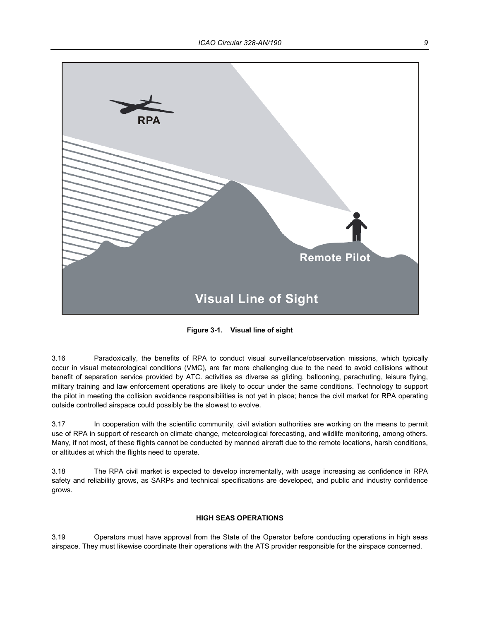

**Figure 3-1. Visual line of sight** 

3.16 Paradoxically, the benefits of RPA to conduct visual surveillance/observation missions, which typically occur in visual meteorological conditions (VMC), are far more challenging due to the need to avoid collisions without benefit of separation service provided by ATC. activities as diverse as gliding, ballooning, parachuting, leisure flying, military training and law enforcement operations are likely to occur under the same conditions. Technology to support the pilot in meeting the collision avoidance responsibilities is not yet in place; hence the civil market for RPA operating outside controlled airspace could possibly be the slowest to evolve.

3.17 In cooperation with the scientific community, civil aviation authorities are working on the means to permit use of RPA in support of research on climate change, meteorological forecasting, and wildlife monitoring, among others. Many, if not most, of these flights cannot be conducted by manned aircraft due to the remote locations, harsh conditions, or altitudes at which the flights need to operate.

3.18 The RPA civil market is expected to develop incrementally, with usage increasing as confidence in RPA safety and reliability grows, as SARPs and technical specifications are developed, and public and industry confidence grows.

## **HIGH SEAS OPERATIONS**

3.19 Operators must have approval from the State of the Operator before conducting operations in high seas airspace. They must likewise coordinate their operations with the ATS provider responsible for the airspace concerned.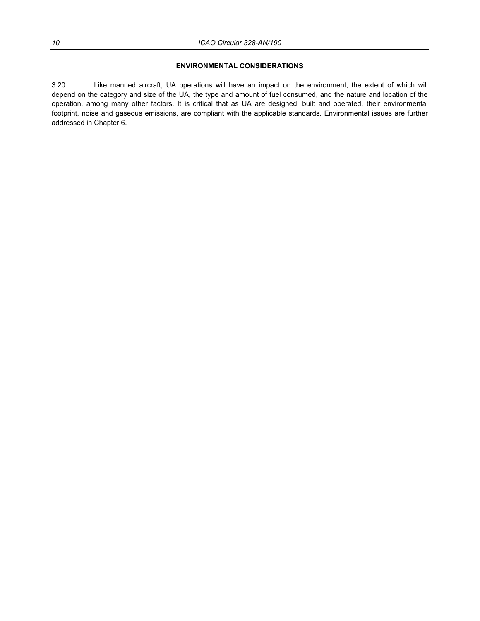#### **ENVIRONMENTAL CONSIDERATIONS**

3.20 Like manned aircraft, UA operations will have an impact on the environment, the extent of which will depend on the category and size of the UA, the type and amount of fuel consumed, and the nature and location of the operation, among many other factors. It is critical that as UA are designed, built and operated, their environmental footprint, noise and gaseous emissions, are compliant with the applicable standards. Environmental issues are further addressed in Chapter 6.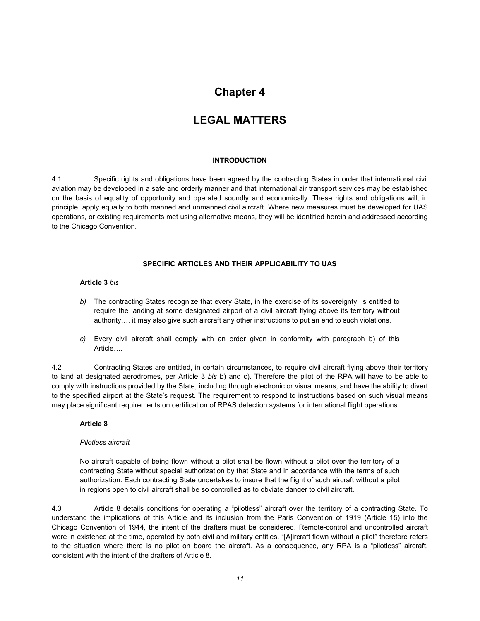# **Chapter 4**

# **LEGAL MATTERS**

# **INTRODUCTION**

4.1 Specific rights and obligations have been agreed by the contracting States in order that international civil aviation may be developed in a safe and orderly manner and that international air transport services may be established on the basis of equality of opportunity and operated soundly and economically. These rights and obligations will, in principle, apply equally to both manned and unmanned civil aircraft. Where new measures must be developed for UAS operations, or existing requirements met using alternative means, they will be identified herein and addressed according to the Chicago Convention.

## **SPECIFIC ARTICLES AND THEIR APPLICABILITY TO UAS**

#### **Article 3** *bis*

- *b)* The contracting States recognize that every State, in the exercise of its sovereignty, is entitled to require the landing at some designated airport of a civil aircraft flying above its territory without authority…. it may also give such aircraft any other instructions to put an end to such violations.
- *c)* Every civil aircraft shall comply with an order given in conformity with paragraph b) of this Article….

4.2 Contracting States are entitled, in certain circumstances, to require civil aircraft flying above their territory to land at designated aerodromes, per Article 3 *bis* b) and c). Therefore the pilot of the RPA will have to be able to comply with instructions provided by the State, including through electronic or visual means, and have the ability to divert to the specified airport at the State's request. The requirement to respond to instructions based on such visual means may place significant requirements on certification of RPAS detection systems for international flight operations.

#### **Article 8**

#### *Pilotless aircraft*

No aircraft capable of being flown without a pilot shall be flown without a pilot over the territory of a contracting State without special authorization by that State and in accordance with the terms of such authorization. Each contracting State undertakes to insure that the flight of such aircraft without a pilot in regions open to civil aircraft shall be so controlled as to obviate danger to civil aircraft.

4.3 Article 8 details conditions for operating a "pilotless" aircraft over the territory of a contracting State. To understand the implications of this Article and its inclusion from the Paris Convention of 1919 (Article 15) into the Chicago Convention of 1944, the intent of the drafters must be considered. Remote-control and uncontrolled aircraft were in existence at the time, operated by both civil and military entities. "[A]ircraft flown without a pilot" therefore refers to the situation where there is no pilot on board the aircraft. As a consequence, any RPA is a "pilotless" aircraft, consistent with the intent of the drafters of Article 8.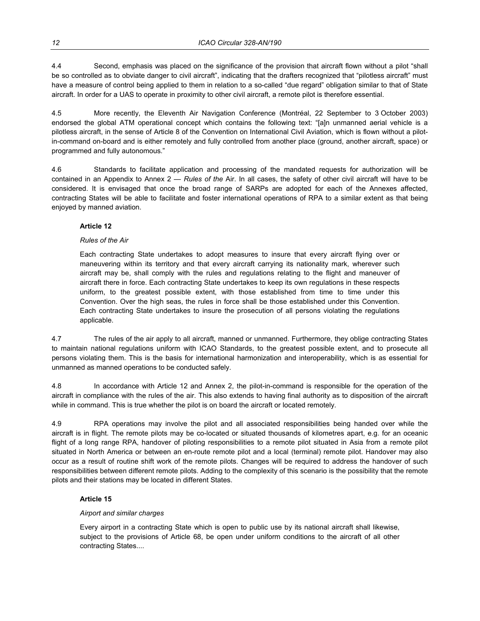4.4 Second, emphasis was placed on the significance of the provision that aircraft flown without a pilot "shall be so controlled as to obviate danger to civil aircraft", indicating that the drafters recognized that "pilotless aircraft" must have a measure of control being applied to them in relation to a so-called "due regard" obligation similar to that of State aircraft. In order for a UAS to operate in proximity to other civil aircraft, a remote pilot is therefore essential.

4.5 More recently, the Eleventh Air Navigation Conference (Montréal, 22 September to 3 October 2003) endorsed the global ATM operational concept which contains the following text: "[a]n unmanned aerial vehicle is a pilotless aircraft, in the sense of Article 8 of the Convention on International Civil Aviation, which is flown without a pilotin-command on-board and is either remotely and fully controlled from another place (ground, another aircraft, space) or programmed and fully autonomous."

4.6 Standards to facilitate application and processing of the mandated requests for authorization will be contained in an Appendix to Annex 2 — *Rules of the* Air. In all cases, the safety of other civil aircraft will have to be considered. It is envisaged that once the broad range of SARPs are adopted for each of the Annexes affected, contracting States will be able to facilitate and foster international operations of RPA to a similar extent as that being enjoyed by manned aviation.

#### **Article 12**

#### *Rules of the Air*

Each contracting State undertakes to adopt measures to insure that every aircraft flying over or maneuvering within its territory and that every aircraft carrying its nationality mark, wherever such aircraft may be, shall comply with the rules and regulations relating to the flight and maneuver of aircraft there in force. Each contracting State undertakes to keep its own regulations in these respects uniform, to the greatest possible extent, with those established from time to time under this Convention. Over the high seas, the rules in force shall be those established under this Convention. Each contracting State undertakes to insure the prosecution of all persons violating the regulations applicable.

4.7 The rules of the air apply to all aircraft, manned or unmanned. Furthermore, they oblige contracting States to maintain national regulations uniform with ICAO Standards, to the greatest possible extent, and to prosecute all persons violating them. This is the basis for international harmonization and interoperability, which is as essential for unmanned as manned operations to be conducted safely.

4.8 In accordance with Article 12 and Annex 2, the pilot-in-command is responsible for the operation of the aircraft in compliance with the rules of the air. This also extends to having final authority as to disposition of the aircraft while in command. This is true whether the pilot is on board the aircraft or located remotely.

4.9 RPA operations may involve the pilot and all associated responsibilities being handed over while the aircraft is in flight. The remote pilots may be co-located or situated thousands of kilometres apart, e.g. for an oceanic flight of a long range RPA, handover of piloting responsibilities to a remote pilot situated in Asia from a remote pilot situated in North America or between an en-route remote pilot and a local (terminal) remote pilot. Handover may also occur as a result of routine shift work of the remote pilots. Changes will be required to address the handover of such responsibilities between different remote pilots. Adding to the complexity of this scenario is the possibility that the remote pilots and their stations may be located in different States.

# **Article 15**

# *Airport and similar charges*

Every airport in a contracting State which is open to public use by its national aircraft shall likewise, subject to the provisions of Article 68, be open under uniform conditions to the aircraft of all other contracting States....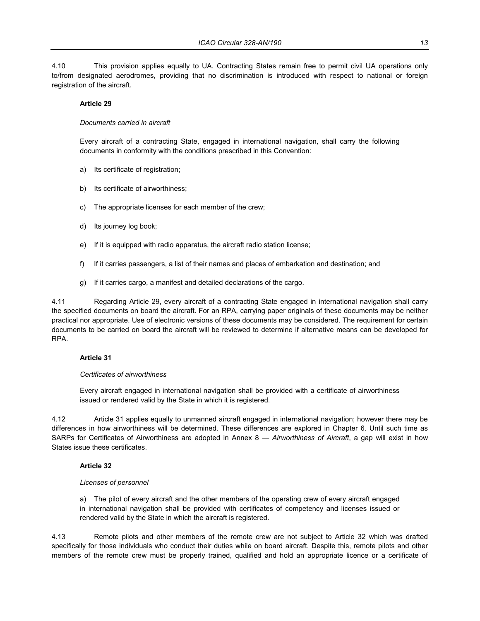4.10 This provision applies equally to UA. Contracting States remain free to permit civil UA operations only to/from designated aerodromes, providing that no discrimination is introduced with respect to national or foreign registration of the aircraft.

## **Article 29**

#### *Documents carried in aircraft*

Every aircraft of a contracting State, engaged in international navigation, shall carry the following documents in conformity with the conditions prescribed in this Convention:

- a) Its certificate of registration;
- b) Its certificate of airworthiness;
- c) The appropriate licenses for each member of the crew;
- d) Its journey log book;
- e) If it is equipped with radio apparatus, the aircraft radio station license;
- f) If it carries passengers, a list of their names and places of embarkation and destination; and
- g) If it carries cargo, a manifest and detailed declarations of the cargo.

4.11 Regarding Article 29, every aircraft of a contracting State engaged in international navigation shall carry the specified documents on board the aircraft. For an RPA, carrying paper originals of these documents may be neither practical nor appropriate. Use of electronic versions of these documents may be considered. The requirement for certain documents to be carried on board the aircraft will be reviewed to determine if alternative means can be developed for RPA.

#### **Article 31**

#### *Certificates of airworthiness*

Every aircraft engaged in international navigation shall be provided with a certificate of airworthiness issued or rendered valid by the State in which it is registered.

4.12 Article 31 applies equally to unmanned aircraft engaged in international navigation; however there may be differences in how airworthiness will be determined. These differences are explored in Chapter 6. Until such time as SARPs for Certificates of Airworthiness are adopted in Annex 8 — *Airworthiness of Aircraft*, a gap will exist in how States issue these certificates.

## **Article 32**

#### *Licenses of personnel*

a) The pilot of every aircraft and the other members of the operating crew of every aircraft engaged in international navigation shall be provided with certificates of competency and licenses issued or rendered valid by the State in which the aircraft is registered.

4.13 Remote pilots and other members of the remote crew are not subject to Article 32 which was drafted specifically for those individuals who conduct their duties while on board aircraft. Despite this, remote pilots and other members of the remote crew must be properly trained, qualified and hold an appropriate licence or a certificate of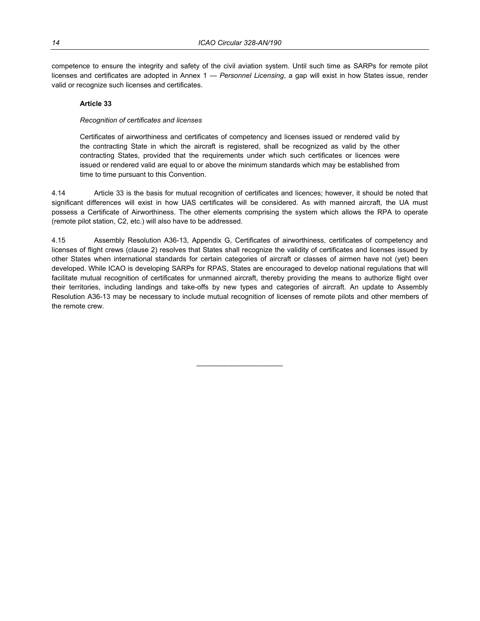competence to ensure the integrity and safety of the civil aviation system. Until such time as SARPs for remote pilot licenses and certificates are adopted in Annex 1 — *Personnel Licensing*, a gap will exist in how States issue, render valid or recognize such licenses and certificates.

#### **Article 33**

#### *Recognition of certificates and licenses*

Certificates of airworthiness and certificates of competency and licenses issued or rendered valid by the contracting State in which the aircraft is registered, shall be recognized as valid by the other contracting States, provided that the requirements under which such certificates or licences were issued or rendered valid are equal to or above the minimum standards which may be established from time to time pursuant to this Convention.

4.14 Article 33 is the basis for mutual recognition of certificates and licences; however, it should be noted that significant differences will exist in how UAS certificates will be considered. As with manned aircraft, the UA must possess a Certificate of Airworthiness. The other elements comprising the system which allows the RPA to operate (remote pilot station, C2, etc.) will also have to be addressed.

4.15 Assembly Resolution A36-13, Appendix G, Certificates of airworthiness, certificates of competency and licenses of flight crews (clause 2) resolves that States shall recognize the validity of certificates and licenses issued by other States when international standards for certain categories of aircraft or classes of airmen have not (yet) been developed. While ICAO is developing SARPs for RPAS, States are encouraged to develop national regulations that will facilitate mutual recognition of certificates for unmanned aircraft, thereby providing the means to authorize flight over their territories, including landings and take-offs by new types and categories of aircraft. An update to Assembly Resolution A36-13 may be necessary to include mutual recognition of licenses of remote pilots and other members of the remote crew.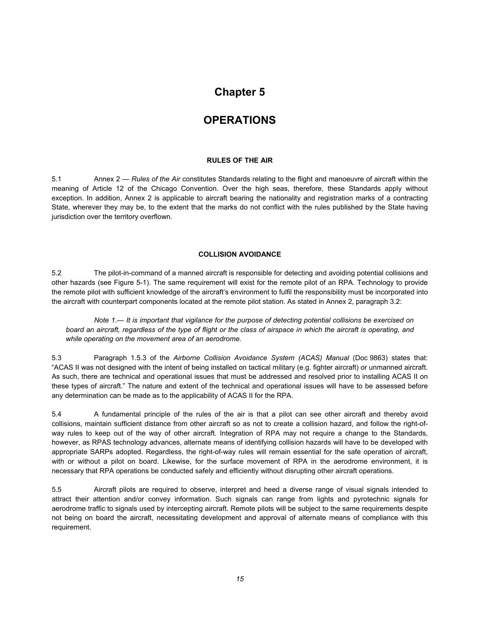# **Chapter 5**

# **OPERATIONS**

#### **RULES OF THE AIR**

5.1 Annex 2 — *Rules of the Air* constitutes Standards relating to the flight and manoeuvre of aircraft within the meaning of Article 12 of the Chicago Convention. Over the high seas, therefore, these Standards apply without exception. In addition, Annex 2 is applicable to aircraft bearing the nationality and registration marks of a contracting State, wherever they may be, to the extent that the marks do not conflict with the rules published by the State having jurisdiction over the territory overflown.

#### **COLLISION AVOIDANCE**

5.2 The pilot-in-command of a manned aircraft is responsible for detecting and avoiding potential collisions and other hazards (see Figure 5-1). The same requirement will exist for the remote pilot of an RPA. Technology to provide the remote pilot with sufficient knowledge of the aircraft's environment to fulfil the responsibility must be incorporated into the aircraft with counterpart components located at the remote pilot station. As stated in Annex 2, paragraph 3.2:

 *Note 1.— It is important that vigilance for the purpose of detecting potential collisions be exercised on board an aircraft, regardless of the type of flight or the class of airspace in which the aircraft is operating, and while operating on the movement area of an aerodrome.*

5.3 Paragraph 1.5.3 of the *Airborne Collision Avoidance System (ACAS) Manual* (Doc 9863) states that: "ACAS II was not designed with the intent of being installed on tactical military (e.g. fighter aircraft) or unmanned aircraft. As such, there are technical and operational issues that must be addressed and resolved prior to installing ACAS II on these types of aircraft." The nature and extent of the technical and operational issues will have to be assessed before any determination can be made as to the applicability of ACAS II for the RPA.

5.4 A fundamental principle of the rules of the air is that a pilot can see other aircraft and thereby avoid collisions, maintain sufficient distance from other aircraft so as not to create a collision hazard, and follow the right-ofway rules to keep out of the way of other aircraft. Integration of RPA may not require a change to the Standards, however, as RPAS technology advances, alternate means of identifying collision hazards will have to be developed with appropriate SARPs adopted. Regardless, the right-of-way rules will remain essential for the safe operation of aircraft, with or without a pilot on board. Likewise, for the surface movement of RPA in the aerodrome environment, it is necessary that RPA operations be conducted safely and efficiently without disrupting other aircraft operations.

5.5 Aircraft pilots are required to observe, interpret and heed a diverse range of visual signals intended to attract their attention and/or convey information. Such signals can range from lights and pyrotechnic signals for aerodrome traffic to signals used by intercepting aircraft. Remote pilots will be subject to the same requirements despite not being on board the aircraft, necessitating development and approval of alternate means of compliance with this requirement.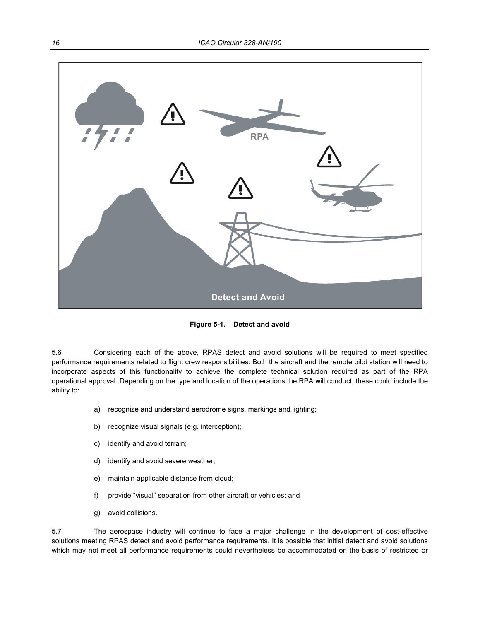

**Figure 5-1. Detect and avoid** 

5.6 Considering each of the above, RPAS detect and avoid solutions will be required to meet specified performance requirements related to flight crew responsibilities. Both the aircraft and the remote pilot station will need to incorporate aspects of this functionality to achieve the complete technical solution required as part of the RPA operational approval. Depending on the type and location of the operations the RPA will conduct, these could include the ability to:

- a) recognize and understand aerodrome signs, markings and lighting;
- b) recognize visual signals (e.g. interception);
- c) identify and avoid terrain;
- d) identify and avoid severe weather;
- e) maintain applicable distance from cloud;
- f) provide "visual" separation from other aircraft or vehicles; and
- g) avoid collisions.

5.7 The aerospace industry will continue to face a major challenge in the development of cost-effective solutions meeting RPAS detect and avoid performance requirements. It is possible that initial detect and avoid solutions which may not meet all performance requirements could nevertheless be accommodated on the basis of restricted or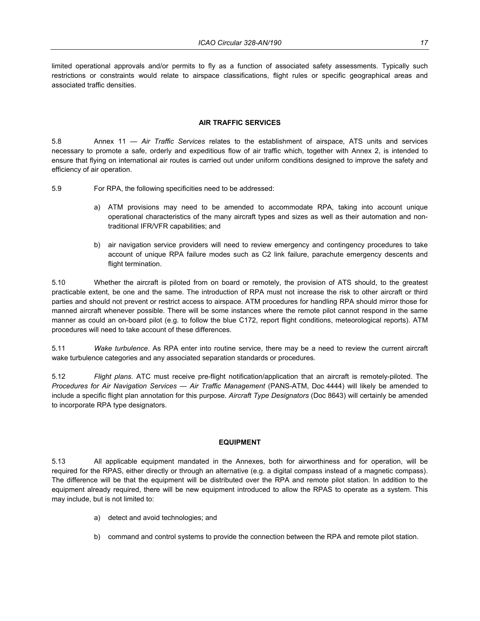limited operational approvals and/or permits to fly as a function of associated safety assessments. Typically such restrictions or constraints would relate to airspace classifications, flight rules or specific geographical areas and associated traffic densities.

#### **AIR TRAFFIC SERVICES**

5.8 Annex 11 — *Air Traffic Services* relates to the establishment of airspace, ATS units and services necessary to promote a safe, orderly and expeditious flow of air traffic which, together with Annex 2, is intended to ensure that flying on international air routes is carried out under uniform conditions designed to improve the safety and efficiency of air operation.

5.9 For RPA, the following specificities need to be addressed:

- a) ATM provisions may need to be amended to accommodate RPA, taking into account unique operational characteristics of the many aircraft types and sizes as well as their automation and nontraditional IFR/VFR capabilities; and
- b) air navigation service providers will need to review emergency and contingency procedures to take account of unique RPA failure modes such as C2 link failure, parachute emergency descents and flight termination.

5.10 Whether the aircraft is piloted from on board or remotely, the provision of ATS should, to the greatest practicable extent, be one and the same. The introduction of RPA must not increase the risk to other aircraft or third parties and should not prevent or restrict access to airspace. ATM procedures for handling RPA should mirror those for manned aircraft whenever possible. There will be some instances where the remote pilot cannot respond in the same manner as could an on-board pilot (e.g. to follow the blue C172, report flight conditions, meteorological reports). ATM procedures will need to take account of these differences.

5.11 *Wake turbulence*. As RPA enter into routine service, there may be a need to review the current aircraft wake turbulence categories and any associated separation standards or procedures.

5.12 *Flight plans*. ATC must receive pre-flight notification/application that an aircraft is remotely-piloted. The *Procedures for Air Navigation Services — Air Traffic Management* (PANS-ATM, Doc 4444) will likely be amended to include a specific flight plan annotation for this purpose. *Aircraft Type Designators* (Doc 8643) will certainly be amended to incorporate RPA type designators.

#### **EQUIPMENT**

5.13 All applicable equipment mandated in the Annexes, both for airworthiness and for operation, will be required for the RPAS, either directly or through an alternative (e.g. a digital compass instead of a magnetic compass). The difference will be that the equipment will be distributed over the RPA and remote pilot station. In addition to the equipment already required, there will be new equipment introduced to allow the RPAS to operate as a system. This may include, but is not limited to:

- a) detect and avoid technologies; and
- b) command and control systems to provide the connection between the RPA and remote pilot station.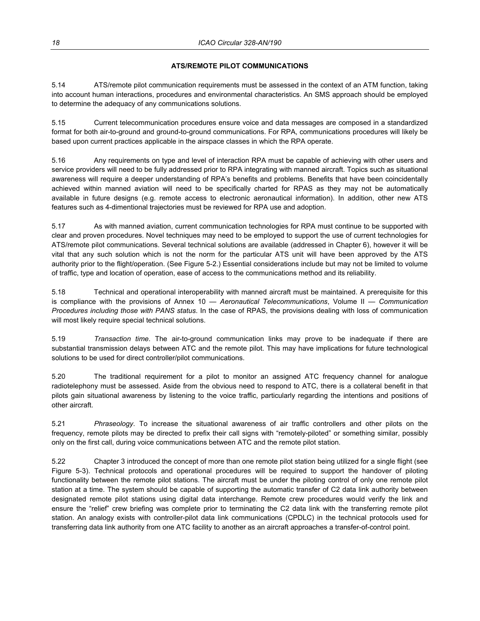# **ATS/REMOTE PILOT COMMUNICATIONS**

5.14 ATS/remote pilot communication requirements must be assessed in the context of an ATM function, taking into account human interactions, procedures and environmental characteristics. An SMS approach should be employed to determine the adequacy of any communications solutions.

5.15 Current telecommunication procedures ensure voice and data messages are composed in a standardized format for both air-to-ground and ground-to-ground communications. For RPA, communications procedures will likely be based upon current practices applicable in the airspace classes in which the RPA operate.

5.16 Any requirements on type and level of interaction RPA must be capable of achieving with other users and service providers will need to be fully addressed prior to RPA integrating with manned aircraft. Topics such as situational awareness will require a deeper understanding of RPA's benefits and problems. Benefits that have been coincidentally achieved within manned aviation will need to be specifically charted for RPAS as they may not be automatically available in future designs (e.g. remote access to electronic aeronautical information). In addition, other new ATS features such as 4-dimentional trajectories must be reviewed for RPA use and adoption.

5.17 As with manned aviation, current communication technologies for RPA must continue to be supported with clear and proven procedures. Novel techniques may need to be employed to support the use of current technologies for ATS/remote pilot communications. Several technical solutions are available (addressed in Chapter 6), however it will be vital that any such solution which is not the norm for the particular ATS unit will have been approved by the ATS authority prior to the flight/operation. (See Figure 5-2.) Essential considerations include but may not be limited to volume of traffic, type and location of operation, ease of access to the communications method and its reliability.

5.18 Technical and operational interoperability with manned aircraft must be maintained. A prerequisite for this is compliance with the provisions of Annex 10 — *Aeronautical Telecommunications*, Volume II — *Communication Procedures including those with PANS status*. In the case of RPAS, the provisions dealing with loss of communication will most likely require special technical solutions.

5.19 *Transaction time*. The air-to-ground communication links may prove to be inadequate if there are substantial transmission delays between ATC and the remote pilot. This may have implications for future technological solutions to be used for direct controller/pilot communications.

5.20 The traditional requirement for a pilot to monitor an assigned ATC frequency channel for analogue radiotelephony must be assessed. Aside from the obvious need to respond to ATC, there is a collateral benefit in that pilots gain situational awareness by listening to the voice traffic, particularly regarding the intentions and positions of other aircraft.

5.21 *Phraseology*. To increase the situational awareness of air traffic controllers and other pilots on the frequency, remote pilots may be directed to prefix their call signs with "remotely-piloted" or something similar, possibly only on the first call, during voice communications between ATC and the remote pilot station.

5.22 Chapter 3 introduced the concept of more than one remote pilot station being utilized for a single flight (see Figure 5-3). Technical protocols and operational procedures will be required to support the handover of piloting functionality between the remote pilot stations. The aircraft must be under the piloting control of only one remote pilot station at a time. The system should be capable of supporting the automatic transfer of C2 data link authority between designated remote pilot stations using digital data interchange. Remote crew procedures would verify the link and ensure the "relief" crew briefing was complete prior to terminating the C2 data link with the transferring remote pilot station. An analogy exists with controller-pilot data link communications (CPDLC) in the technical protocols used for transferring data link authority from one ATC facility to another as an aircraft approaches a transfer-of-control point.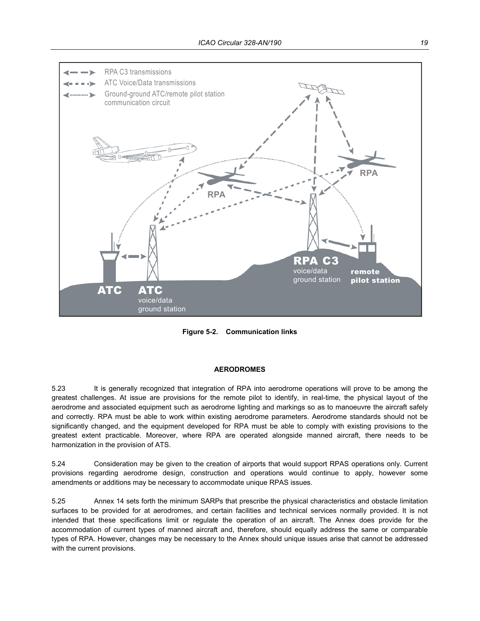

**Figure 5-2. Communication links** 

#### **AERODROMES**

5.23 It is generally recognized that integration of RPA into aerodrome operations will prove to be among the greatest challenges. At issue are provisions for the remote pilot to identify, in real-time, the physical layout of the aerodrome and associated equipment such as aerodrome lighting and markings so as to manoeuvre the aircraft safely and correctly. RPA must be able to work within existing aerodrome parameters. Aerodrome standards should not be significantly changed, and the equipment developed for RPA must be able to comply with existing provisions to the greatest extent practicable. Moreover, where RPA are operated alongside manned aircraft, there needs to be harmonization in the provision of ATS.

5.24 Consideration may be given to the creation of airports that would support RPAS operations only. Current provisions regarding aerodrome design, construction and operations would continue to apply, however some amendments or additions may be necessary to accommodate unique RPAS issues.

5.25 Annex 14 sets forth the minimum SARPs that prescribe the physical characteristics and obstacle limitation surfaces to be provided for at aerodromes, and certain facilities and technical services normally provided. It is not intended that these specifications limit or regulate the operation of an aircraft. The Annex does provide for the accommodation of current types of manned aircraft and, therefore, should equally address the same or comparable types of RPA. However, changes may be necessary to the Annex should unique issues arise that cannot be addressed with the current provisions.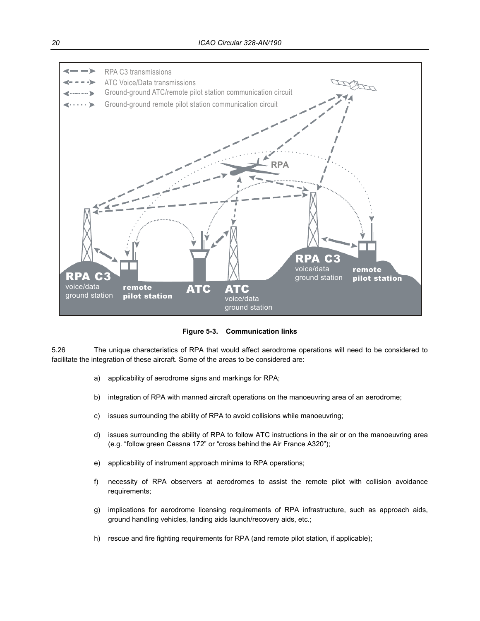

**Figure 5-3. Communication links** 

5.26 The unique characteristics of RPA that would affect aerodrome operations will need to be considered to facilitate the integration of these aircraft. Some of the areas to be considered are:

- a) applicability of aerodrome signs and markings for RPA;
- b) integration of RPA with manned aircraft operations on the manoeuvring area of an aerodrome;
- c) issues surrounding the ability of RPA to avoid collisions while manoeuvring;
- d) issues surrounding the ability of RPA to follow ATC instructions in the air or on the manoeuvring area (e.g. "follow green Cessna 172" or "cross behind the Air France A320");
- e) applicability of instrument approach minima to RPA operations;
- f) necessity of RPA observers at aerodromes to assist the remote pilot with collision avoidance requirements;
- g) implications for aerodrome licensing requirements of RPA infrastructure, such as approach aids, ground handling vehicles, landing aids launch/recovery aids, etc.;
- h) rescue and fire fighting requirements for RPA (and remote pilot station, if applicable);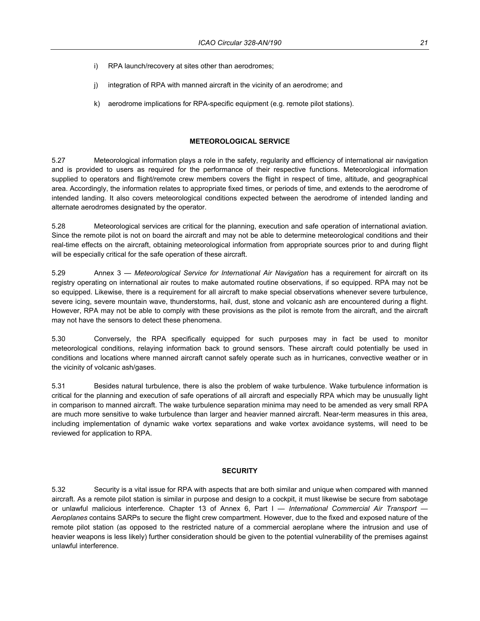- i) RPA launch/recovery at sites other than aerodromes;
- j) integration of RPA with manned aircraft in the vicinity of an aerodrome; and
- k) aerodrome implications for RPA-specific equipment (e.g. remote pilot stations).

# **METEOROLOGICAL SERVICE**

5.27 Meteorological information plays a role in the safety, regularity and efficiency of international air navigation and is provided to users as required for the performance of their respective functions. Meteorological information supplied to operators and flight/remote crew members covers the flight in respect of time, altitude, and geographical area. Accordingly, the information relates to appropriate fixed times, or periods of time, and extends to the aerodrome of intended landing. It also covers meteorological conditions expected between the aerodrome of intended landing and alternate aerodromes designated by the operator.

5.28 Meteorological services are critical for the planning, execution and safe operation of international aviation. Since the remote pilot is not on board the aircraft and may not be able to determine meteorological conditions and their real-time effects on the aircraft, obtaining meteorological information from appropriate sources prior to and during flight will be especially critical for the safe operation of these aircraft.

5.29 Annex 3 — *Meteorological Service for International Air Navigation* has a requirement for aircraft on its registry operating on international air routes to make automated routine observations, if so equipped. RPA may not be so equipped. Likewise, there is a requirement for all aircraft to make special observations whenever severe turbulence, severe icing, severe mountain wave, thunderstorms, hail, dust, stone and volcanic ash are encountered during a flight. However, RPA may not be able to comply with these provisions as the pilot is remote from the aircraft, and the aircraft may not have the sensors to detect these phenomena.

5.30 Conversely, the RPA specifically equipped for such purposes may in fact be used to monitor meteorological conditions, relaying information back to ground sensors. These aircraft could potentially be used in conditions and locations where manned aircraft cannot safely operate such as in hurricanes, convective weather or in the vicinity of volcanic ash/gases.

5.31 Besides natural turbulence, there is also the problem of wake turbulence. Wake turbulence information is critical for the planning and execution of safe operations of all aircraft and especially RPA which may be unusually light in comparison to manned aircraft. The wake turbulence separation minima may need to be amended as very small RPA are much more sensitive to wake turbulence than larger and heavier manned aircraft. Near-term measures in this area, including implementation of dynamic wake vortex separations and wake vortex avoidance systems, will need to be reviewed for application to RPA.

#### **SECURITY**

5.32 Security is a vital issue for RPA with aspects that are both similar and unique when compared with manned aircraft. As a remote pilot station is similar in purpose and design to a cockpit, it must likewise be secure from sabotage or unlawful malicious interference. Chapter 13 of Annex 6, Part I — *International Commercial Air Transport — Aeroplanes* contains SARPs to secure the flight crew compartment. However, due to the fixed and exposed nature of the remote pilot station (as opposed to the restricted nature of a commercial aeroplane where the intrusion and use of heavier weapons is less likely) further consideration should be given to the potential vulnerability of the premises against unlawful interference.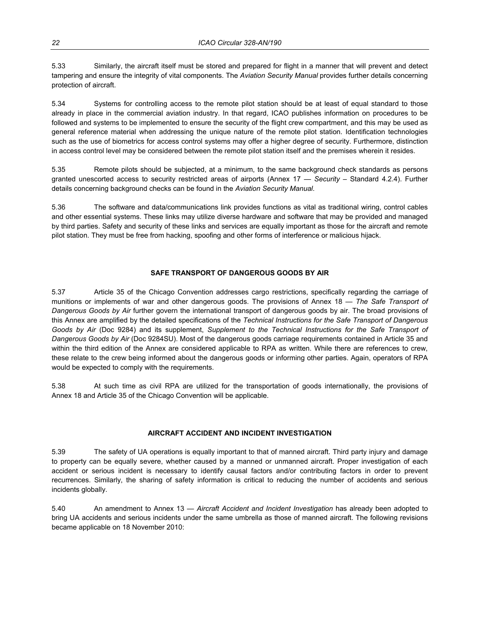5.33 Similarly, the aircraft itself must be stored and prepared for flight in a manner that will prevent and detect tampering and ensure the integrity of vital components. The *Aviation Security Manual* provides further details concerning protection of aircraft.

5.34 Systems for controlling access to the remote pilot station should be at least of equal standard to those already in place in the commercial aviation industry. In that regard, ICAO publishes information on procedures to be followed and systems to be implemented to ensure the security of the flight crew compartment, and this may be used as general reference material when addressing the unique nature of the remote pilot station. Identification technologies such as the use of biometrics for access control systems may offer a higher degree of security. Furthermore, distinction in access control level may be considered between the remote pilot station itself and the premises wherein it resides.

5.35 Remote pilots should be subjected, at a minimum, to the same background check standards as persons granted unescorted access to security restricted areas of airports (Annex 17 — *Security* – Standard 4.2.4). Further details concerning background checks can be found in the *Aviation Security Manual*.

5.36 The software and data/communications link provides functions as vital as traditional wiring, control cables and other essential systems. These links may utilize diverse hardware and software that may be provided and managed by third parties. Safety and security of these links and services are equally important as those for the aircraft and remote pilot station. They must be free from hacking, spoofing and other forms of interference or malicious hijack.

#### **SAFE TRANSPORT OF DANGEROUS GOODS BY AIR**

5.37 Article 35 of the Chicago Convention addresses cargo restrictions, specifically regarding the carriage of munitions or implements of war and other dangerous goods. The provisions of Annex 18 — *The Safe Transport of Dangerous Goods by Air* further govern the international transport of dangerous goods by air. The broad provisions of this Annex are amplified by the detailed specifications of the *Technical Instructions for the Safe Transport of Dangerous Goods by Air* (Doc 9284) and its supplement, *Supplement to the Technical Instructions for the Safe Transport of Dangerous Goods by Air* (Doc 9284SU). Most of the dangerous goods carriage requirements contained in Article 35 and within the third edition of the Annex are considered applicable to RPA as written. While there are references to crew, these relate to the crew being informed about the dangerous goods or informing other parties. Again, operators of RPA would be expected to comply with the requirements.

5.38 At such time as civil RPA are utilized for the transportation of goods internationally, the provisions of Annex 18 and Article 35 of the Chicago Convention will be applicable.

## **AIRCRAFT ACCIDENT AND INCIDENT INVESTIGATION**

5.39 The safety of UA operations is equally important to that of manned aircraft. Third party injury and damage to property can be equally severe, whether caused by a manned or unmanned aircraft. Proper investigation of each accident or serious incident is necessary to identify causal factors and/or contributing factors in order to prevent recurrences. Similarly, the sharing of safety information is critical to reducing the number of accidents and serious incidents globally.

5.40 An amendment to Annex 13 — *Aircraft Accident and Incident Investigation* has already been adopted to bring UA accidents and serious incidents under the same umbrella as those of manned aircraft. The following revisions became applicable on 18 November 2010: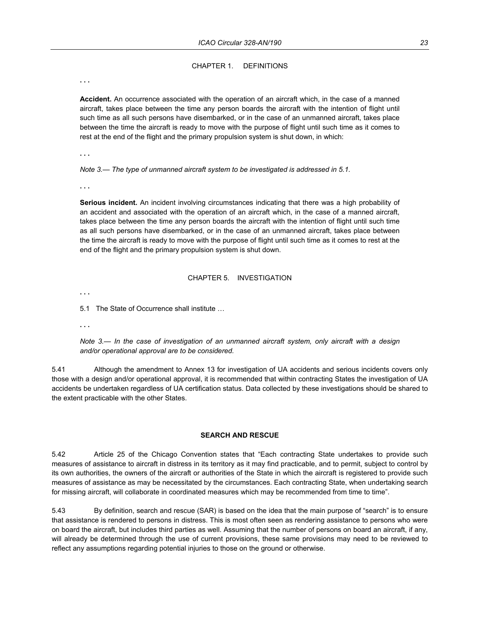CHAPTER 1. DEFINITIONS

**. . .** 

**Accident.** An occurrence associated with the operation of an aircraft which, in the case of a manned aircraft, takes place between the time any person boards the aircraft with the intention of flight until such time as all such persons have disembarked, or in the case of an unmanned aircraft, takes place between the time the aircraft is ready to move with the purpose of flight until such time as it comes to rest at the end of the flight and the primary propulsion system is shut down, in which:

**. . .** 

*Note 3.— The type of unmanned aircraft system to be investigated is addressed in 5.1.* 

**. . .** 

**Serious incident.** An incident involving circumstances indicating that there was a high probability of an accident and associated with the operation of an aircraft which, in the case of a manned aircraft, takes place between the time any person boards the aircraft with the intention of flight until such time as all such persons have disembarked, or in the case of an unmanned aircraft, takes place between the time the aircraft is ready to move with the purpose of flight until such time as it comes to rest at the end of the flight and the primary propulsion system is shut down.

#### CHAPTER 5. INVESTIGATION

**. . .** 

5.1 The State of Occurrence shall institute …

**. . .** 

*Note 3.— In the case of investigation of an unmanned aircraft system, only aircraft with a design and/or operational approval are to be considered.* 

5.41 Although the amendment to Annex 13 for investigation of UA accidents and serious incidents covers only those with a design and/or operational approval, it is recommended that within contracting States the investigation of UA accidents be undertaken regardless of UA certification status. Data collected by these investigations should be shared to the extent practicable with the other States.

## **SEARCH AND RESCUE**

5.42 Article 25 of the Chicago Convention states that "Each contracting State undertakes to provide such measures of assistance to aircraft in distress in its territory as it may find practicable, and to permit, subject to control by its own authorities, the owners of the aircraft or authorities of the State in which the aircraft is registered to provide such measures of assistance as may be necessitated by the circumstances. Each contracting State, when undertaking search for missing aircraft, will collaborate in coordinated measures which may be recommended from time to time".

5.43 By definition, search and rescue (SAR) is based on the idea that the main purpose of "search" is to ensure that assistance is rendered to persons in distress. This is most often seen as rendering assistance to persons who were on board the aircraft, but includes third parties as well. Assuming that the number of persons on board an aircraft, if any, will already be determined through the use of current provisions, these same provisions may need to be reviewed to reflect any assumptions regarding potential injuries to those on the ground or otherwise.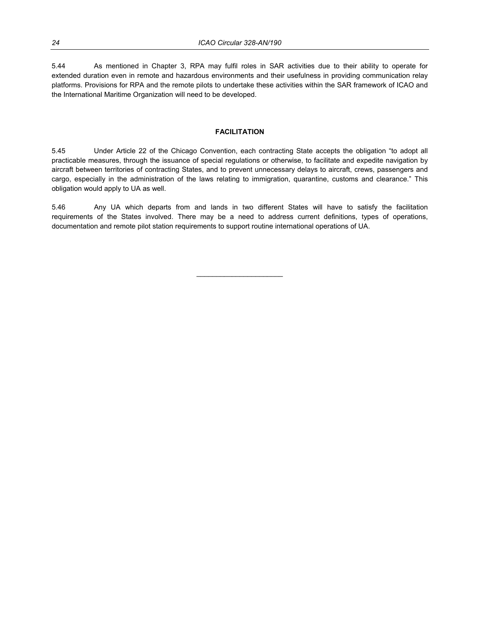5.44 As mentioned in Chapter 3, RPA may fulfil roles in SAR activities due to their ability to operate for extended duration even in remote and hazardous environments and their usefulness in providing communication relay platforms. Provisions for RPA and the remote pilots to undertake these activities within the SAR framework of ICAO and the International Maritime Organization will need to be developed.

#### **FACILITATION**

5.45 Under Article 22 of the Chicago Convention, each contracting State accepts the obligation "to adopt all practicable measures, through the issuance of special regulations or otherwise, to facilitate and expedite navigation by aircraft between territories of contracting States, and to prevent unnecessary delays to aircraft, crews, passengers and cargo, especially in the administration of the laws relating to immigration, quarantine, customs and clearance." This obligation would apply to UA as well.

5.46 Any UA which departs from and lands in two different States will have to satisfy the facilitation requirements of the States involved. There may be a need to address current definitions, types of operations, documentation and remote pilot station requirements to support routine international operations of UA.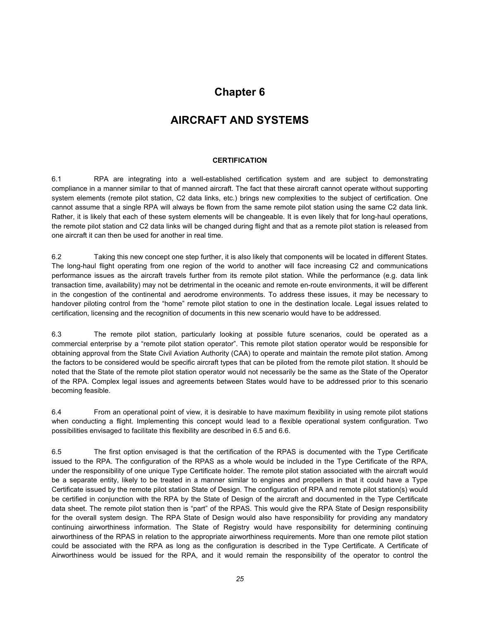# **Chapter 6**

# **AIRCRAFT AND SYSTEMS**

## **CERTIFICATION**

6.1 RPA are integrating into a well-established certification system and are subject to demonstrating compliance in a manner similar to that of manned aircraft. The fact that these aircraft cannot operate without supporting system elements (remote pilot station, C2 data links, etc.) brings new complexities to the subject of certification. One cannot assume that a single RPA will always be flown from the same remote pilot station using the same C2 data link. Rather, it is likely that each of these system elements will be changeable. It is even likely that for long-haul operations, the remote pilot station and C2 data links will be changed during flight and that as a remote pilot station is released from one aircraft it can then be used for another in real time.

6.2 Taking this new concept one step further, it is also likely that components will be located in different States. The long-haul flight operating from one region of the world to another will face increasing C2 and communications performance issues as the aircraft travels further from its remote pilot station. While the performance (e.g. data link transaction time, availability) may not be detrimental in the oceanic and remote en-route environments, it will be different in the congestion of the continental and aerodrome environments. To address these issues, it may be necessary to handover piloting control from the "home" remote pilot station to one in the destination locale. Legal issues related to certification, licensing and the recognition of documents in this new scenario would have to be addressed.

6.3 The remote pilot station, particularly looking at possible future scenarios, could be operated as a commercial enterprise by a "remote pilot station operator". This remote pilot station operator would be responsible for obtaining approval from the State Civil Aviation Authority (CAA) to operate and maintain the remote pilot station. Among the factors to be considered would be specific aircraft types that can be piloted from the remote pilot station. It should be noted that the State of the remote pilot station operator would not necessarily be the same as the State of the Operator of the RPA. Complex legal issues and agreements between States would have to be addressed prior to this scenario becoming feasible.

6.4 From an operational point of view, it is desirable to have maximum flexibility in using remote pilot stations when conducting a flight. Implementing this concept would lead to a flexible operational system configuration. Two possibilities envisaged to facilitate this flexibility are described in 6.5 and 6.6.

6.5 The first option envisaged is that the certification of the RPAS is documented with the Type Certificate issued to the RPA. The configuration of the RPAS as a whole would be included in the Type Certificate of the RPA, under the responsibility of one unique Type Certificate holder. The remote pilot station associated with the aircraft would be a separate entity, likely to be treated in a manner similar to engines and propellers in that it could have a Type Certificate issued by the remote pilot station State of Design. The configuration of RPA and remote pilot station(s) would be certified in conjunction with the RPA by the State of Design of the aircraft and documented in the Type Certificate data sheet. The remote pilot station then is "part" of the RPAS. This would give the RPA State of Design responsibility for the overall system design. The RPA State of Design would also have responsibility for providing any mandatory continuing airworthiness information. The State of Registry would have responsibility for determining continuing airworthiness of the RPAS in relation to the appropriate airworthiness requirements. More than one remote pilot station could be associated with the RPA as long as the configuration is described in the Type Certificate. A Certificate of Airworthiness would be issued for the RPA, and it would remain the responsibility of the operator to control the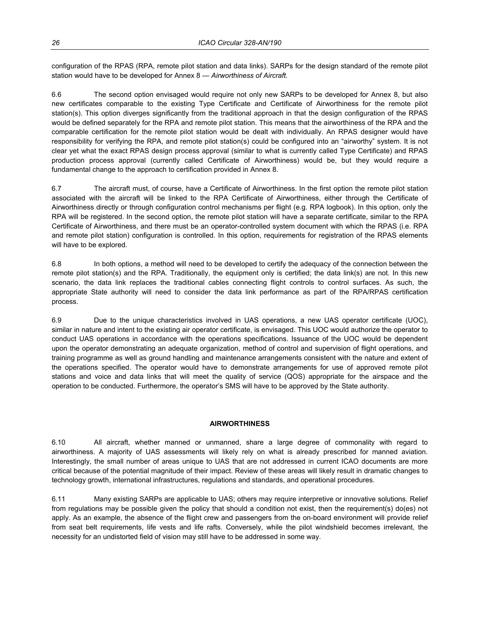configuration of the RPAS (RPA, remote pilot station and data links). SARPs for the design standard of the remote pilot station would have to be developed for Annex 8 — *Airworthiness of Aircraft.*

6.6 The second option envisaged would require not only new SARPs to be developed for Annex 8, but also new certificates comparable to the existing Type Certificate and Certificate of Airworthiness for the remote pilot station(s). This option diverges significantly from the traditional approach in that the design configuration of the RPAS would be defined separately for the RPA and remote pilot station. This means that the airworthiness of the RPA and the comparable certification for the remote pilot station would be dealt with individually. An RPAS designer would have responsibility for verifying the RPA, and remote pilot station(s) could be configured into an "airworthy" system. It is not clear yet what the exact RPAS design process approval (similar to what is currently called Type Certificate) and RPAS production process approval (currently called Certificate of Airworthiness) would be, but they would require a fundamental change to the approach to certification provided in Annex 8.

6.7 The aircraft must, of course, have a Certificate of Airworthiness. In the first option the remote pilot station associated with the aircraft will be linked to the RPA Certificate of Airworthiness, either through the Certificate of Airworthiness directly or through configuration control mechanisms per flight (e.g. RPA logbook). In this option, only the RPA will be registered. In the second option, the remote pilot station will have a separate certificate, similar to the RPA Certificate of Airworthiness, and there must be an operator-controlled system document with which the RPAS (i.e. RPA and remote pilot station) configuration is controlled. In this option, requirements for registration of the RPAS elements will have to be explored.

6.8 In both options, a method will need to be developed to certify the adequacy of the connection between the remote pilot station(s) and the RPA. Traditionally, the equipment only is certified; the data link(s) are not. In this new scenario, the data link replaces the traditional cables connecting flight controls to control surfaces. As such, the appropriate State authority will need to consider the data link performance as part of the RPA/RPAS certification process.

6.9 Due to the unique characteristics involved in UAS operations, a new UAS operator certificate (UOC), similar in nature and intent to the existing air operator certificate, is envisaged. This UOC would authorize the operator to conduct UAS operations in accordance with the operations specifications. Issuance of the UOC would be dependent upon the operator demonstrating an adequate organization, method of control and supervision of flight operations, and training programme as well as ground handling and maintenance arrangements consistent with the nature and extent of the operations specified. The operator would have to demonstrate arrangements for use of approved remote pilot stations and voice and data links that will meet the quality of service (QOS) appropriate for the airspace and the operation to be conducted. Furthermore, the operator's SMS will have to be approved by the State authority.

#### **AIRWORTHINESS**

6.10 All aircraft, whether manned or unmanned, share a large degree of commonality with regard to airworthiness. A majority of UAS assessments will likely rely on what is already prescribed for manned aviation. Interestingly, the small number of areas unique to UAS that are not addressed in current ICAO documents are more critical because of the potential magnitude of their impact. Review of these areas will likely result in dramatic changes to technology growth, international infrastructures, regulations and standards, and operational procedures.

6.11 Many existing SARPs are applicable to UAS; others may require interpretive or innovative solutions. Relief from regulations may be possible given the policy that should a condition not exist, then the requirement(s) do(es) not apply. As an example, the absence of the flight crew and passengers from the on-board environment will provide relief from seat belt requirements, life vests and life rafts. Conversely, while the pilot windshield becomes irrelevant, the necessity for an undistorted field of vision may still have to be addressed in some way.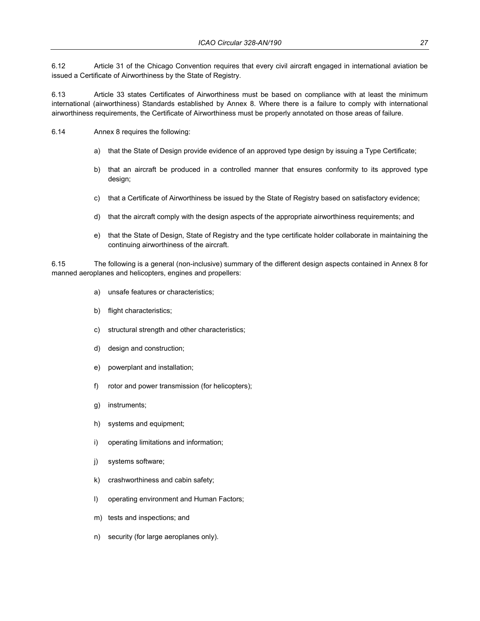6.12 Article 31 of the Chicago Convention requires that every civil aircraft engaged in international aviation be issued a Certificate of Airworthiness by the State of Registry.

6.13 Article 33 states Certificates of Airworthiness must be based on compliance with at least the minimum international (airworthiness) Standards established by Annex 8. Where there is a failure to comply with international airworthiness requirements, the Certificate of Airworthiness must be properly annotated on those areas of failure.

- 6.14 Annex 8 requires the following:
	- a) that the State of Design provide evidence of an approved type design by issuing a Type Certificate;
	- b) that an aircraft be produced in a controlled manner that ensures conformity to its approved type design;
	- c) that a Certificate of Airworthiness be issued by the State of Registry based on satisfactory evidence;
	- d) that the aircraft comply with the design aspects of the appropriate airworthiness requirements; and
	- e) that the State of Design, State of Registry and the type certificate holder collaborate in maintaining the continuing airworthiness of the aircraft.

6.15 The following is a general (non-inclusive) summary of the different design aspects contained in Annex 8 for manned aeroplanes and helicopters, engines and propellers:

- a) unsafe features or characteristics;
- b) flight characteristics;
- c) structural strength and other characteristics;
- d) design and construction;
- e) powerplant and installation;
- f) rotor and power transmission (for helicopters);
- g) instruments;
- h) systems and equipment;
- i) operating limitations and information;
- j) systems software;
- k) crashworthiness and cabin safety;
- l) operating environment and Human Factors;
- m) tests and inspections; and
- n) security (for large aeroplanes only).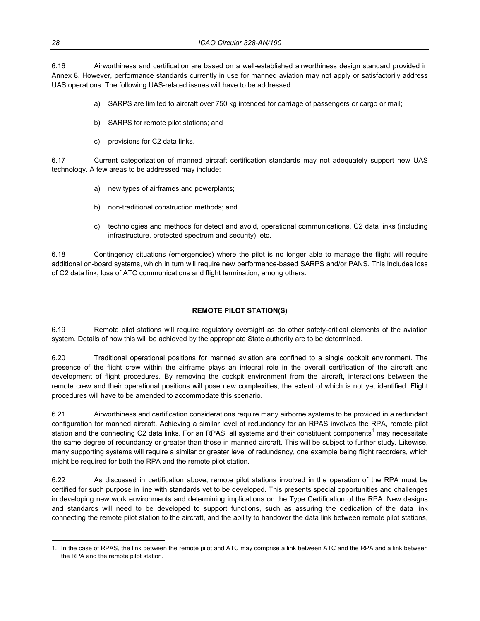6.16 Airworthiness and certification are based on a well-established airworthiness design standard provided in Annex 8. However, performance standards currently in use for manned aviation may not apply or satisfactorily address UAS operations. The following UAS-related issues will have to be addressed:

- a) SARPS are limited to aircraft over 750 kg intended for carriage of passengers or cargo or mail;
- b) SARPS for remote pilot stations; and
- c) provisions for C2 data links.

6.17 Current categorization of manned aircraft certification standards may not adequately support new UAS technology. A few areas to be addressed may include:

- a) new types of airframes and powerplants;
- b) non-traditional construction methods; and
- c) technologies and methods for detect and avoid, operational communications, C2 data links (including infrastructure, protected spectrum and security), etc.

6.18 Contingency situations (emergencies) where the pilot is no longer able to manage the flight will require additional on-board systems, which in turn will require new performance-based SARPS and/or PANS. This includes loss of C2 data link, loss of ATC communications and flight termination, among others.

# **REMOTE PILOT STATION(S)**

6.19 Remote pilot stations will require regulatory oversight as do other safety-critical elements of the aviation system. Details of how this will be achieved by the appropriate State authority are to be determined.

6.20 Traditional operational positions for manned aviation are confined to a single cockpit environment. The presence of the flight crew within the airframe plays an integral role in the overall certification of the aircraft and development of flight procedures. By removing the cockpit environment from the aircraft, interactions between the remote crew and their operational positions will pose new complexities, the extent of which is not yet identified. Flight procedures will have to be amended to accommodate this scenario.

6.21 Airworthiness and certification considerations require many airborne systems to be provided in a redundant configuration for manned aircraft. Achieving a similar level of redundancy for an RPAS involves the RPA, remote pilot station and the connecting C2 data links. For an RPAS, all systems and their constituent components<sup>1</sup> may necessitate the same degree of redundancy or greater than those in manned aircraft. This will be subject to further study. Likewise, many supporting systems will require a similar or greater level of redundancy, one example being flight recorders, which might be required for both the RPA and the remote pilot station.

6.22 As discussed in certification above, remote pilot stations involved in the operation of the RPA must be certified for such purpose in line with standards yet to be developed. This presents special opportunities and challenges in developing new work environments and determining implications on the Type Certification of the RPA. New designs and standards will need to be developed to support functions, such as assuring the dedication of the data link connecting the remote pilot station to the aircraft, and the ability to handover the data link between remote pilot stations,

l

<sup>1.</sup> In the case of RPAS, the link between the remote pilot and ATC may comprise a link between ATC and the RPA and a link between the RPA and the remote pilot station.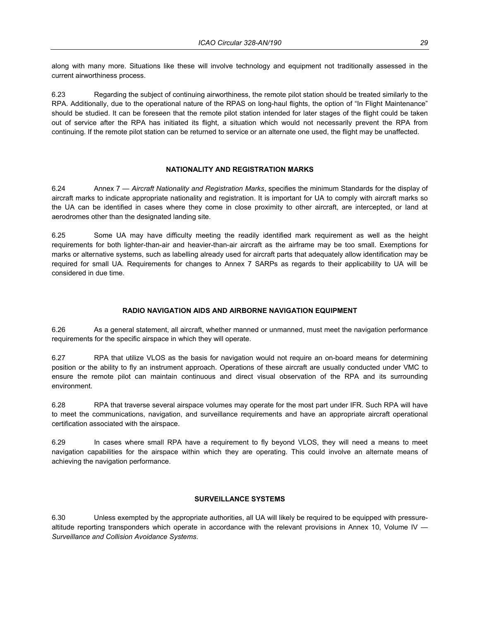along with many more. Situations like these will involve technology and equipment not traditionally assessed in the current airworthiness process.

6.23 Regarding the subject of continuing airworthiness, the remote pilot station should be treated similarly to the RPA. Additionally, due to the operational nature of the RPAS on long-haul flights, the option of "In Flight Maintenance" should be studied. It can be foreseen that the remote pilot station intended for later stages of the flight could be taken out of service after the RPA has initiated its flight, a situation which would not necessarily prevent the RPA from continuing. If the remote pilot station can be returned to service or an alternate one used, the flight may be unaffected.

## **NATIONALITY AND REGISTRATION MARKS**

6.24 Annex 7 — *Aircraft Nationality and Registration Marks*, specifies the minimum Standards for the display of aircraft marks to indicate appropriate nationality and registration. It is important for UA to comply with aircraft marks so the UA can be identified in cases where they come in close proximity to other aircraft, are intercepted, or land at aerodromes other than the designated landing site.

6.25 Some UA may have difficulty meeting the readily identified mark requirement as well as the height requirements for both lighter-than-air and heavier-than-air aircraft as the airframe may be too small. Exemptions for marks or alternative systems, such as labelling already used for aircraft parts that adequately allow identification may be required for small UA. Requirements for changes to Annex 7 SARPs as regards to their applicability to UA will be considered in due time.

# **RADIO NAVIGATION AIDS AND AIRBORNE NAVIGATION EQUIPMENT**

6.26 As a general statement, all aircraft, whether manned or unmanned, must meet the navigation performance requirements for the specific airspace in which they will operate.

6.27 RPA that utilize VLOS as the basis for navigation would not require an on-board means for determining position or the ability to fly an instrument approach. Operations of these aircraft are usually conducted under VMC to ensure the remote pilot can maintain continuous and direct visual observation of the RPA and its surrounding environment.

6.28 RPA that traverse several airspace volumes may operate for the most part under IFR. Such RPA will have to meet the communications, navigation, and surveillance requirements and have an appropriate aircraft operational certification associated with the airspace.

6.29 In cases where small RPA have a requirement to fly beyond VLOS, they will need a means to meet navigation capabilities for the airspace within which they are operating. This could involve an alternate means of achieving the navigation performance.

#### **SURVEILLANCE SYSTEMS**

6.30 Unless exempted by the appropriate authorities, all UA will likely be required to be equipped with pressurealtitude reporting transponders which operate in accordance with the relevant provisions in Annex 10, Volume IV — *Surveillance and Collision Avoidance Systems*.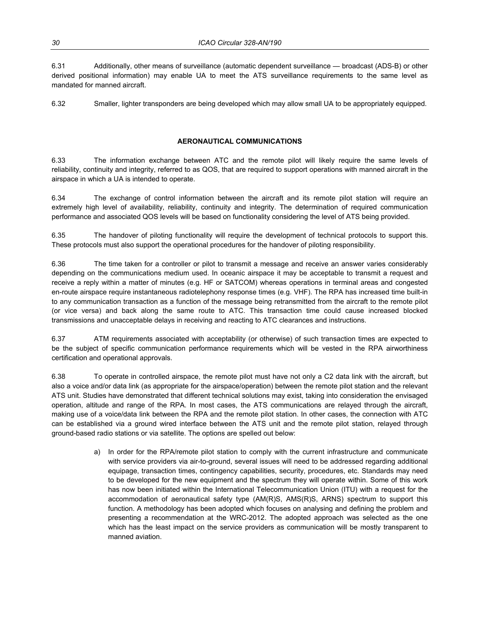6.31 Additionally, other means of surveillance (automatic dependent surveillance — broadcast (ADS-B) or other derived positional information) may enable UA to meet the ATS surveillance requirements to the same level as mandated for manned aircraft.

6.32 Smaller, lighter transponders are being developed which may allow small UA to be appropriately equipped.

## **AERONAUTICAL COMMUNICATIONS**

6.33 The information exchange between ATC and the remote pilot will likely require the same levels of reliability, continuity and integrity, referred to as QOS, that are required to support operations with manned aircraft in the airspace in which a UA is intended to operate.

6.34 The exchange of control information between the aircraft and its remote pilot station will require an extremely high level of availability, reliability, continuity and integrity. The determination of required communication performance and associated QOS levels will be based on functionality considering the level of ATS being provided.

6.35 The handover of piloting functionality will require the development of technical protocols to support this. These protocols must also support the operational procedures for the handover of piloting responsibility.

6.36 The time taken for a controller or pilot to transmit a message and receive an answer varies considerably depending on the communications medium used. In oceanic airspace it may be acceptable to transmit a request and receive a reply within a matter of minutes (e.g. HF or SATCOM) whereas operations in terminal areas and congested en-route airspace require instantaneous radiotelephony response times (e.g. VHF). The RPA has increased time built-in to any communication transaction as a function of the message being retransmitted from the aircraft to the remote pilot (or vice versa) and back along the same route to ATC. This transaction time could cause increased blocked transmissions and unacceptable delays in receiving and reacting to ATC clearances and instructions.

6.37 ATM requirements associated with acceptability (or otherwise) of such transaction times are expected to be the subject of specific communication performance requirements which will be vested in the RPA airworthiness certification and operational approvals.

6.38 To operate in controlled airspace, the remote pilot must have not only a C2 data link with the aircraft, but also a voice and/or data link (as appropriate for the airspace/operation) between the remote pilot station and the relevant ATS unit. Studies have demonstrated that different technical solutions may exist, taking into consideration the envisaged operation, altitude and range of the RPA. In most cases, the ATS communications are relayed through the aircraft, making use of a voice/data link between the RPA and the remote pilot station. In other cases, the connection with ATC can be established via a ground wired interface between the ATS unit and the remote pilot station, relayed through ground-based radio stations or via satellite. The options are spelled out below:

> a) In order for the RPA/remote pilot station to comply with the current infrastructure and communicate with service providers via air-to-ground, several issues will need to be addressed regarding additional equipage, transaction times, contingency capabilities, security, procedures, etc. Standards may need to be developed for the new equipment and the spectrum they will operate within. Some of this work has now been initiated within the International Telecommunication Union (ITU) with a request for the accommodation of aeronautical safety type (AM(R)S, AMS(R)S, ARNS) spectrum to support this function. A methodology has been adopted which focuses on analysing and defining the problem and presenting a recommendation at the WRC-2012. The adopted approach was selected as the one which has the least impact on the service providers as communication will be mostly transparent to manned aviation.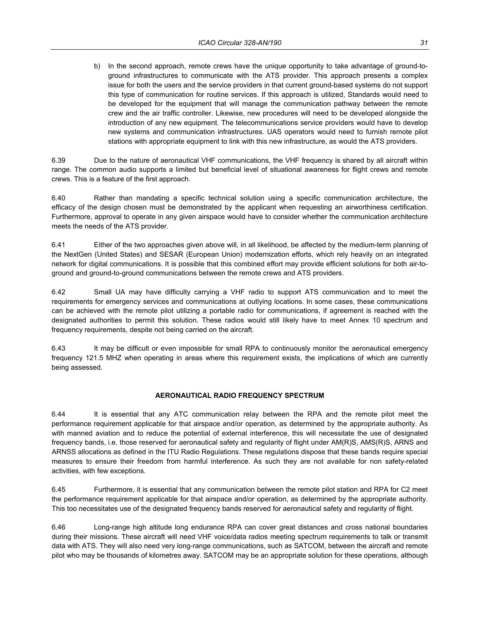b) In the second approach, remote crews have the unique opportunity to take advantage of ground-toground infrastructures to communicate with the ATS provider. This approach presents a complex issue for both the users and the service providers in that current ground-based systems do not support this type of communication for routine services. If this approach is utilized, Standards would need to be developed for the equipment that will manage the communication pathway between the remote crew and the air traffic controller. Likewise, new procedures will need to be developed alongside the introduction of any new equipment. The telecommunications service providers would have to develop new systems and communication infrastructures. UAS operators would need to furnish remote pilot stations with appropriate equipment to link with this new infrastructure, as would the ATS providers.

6.39 Due to the nature of aeronautical VHF communications, the VHF frequency is shared by all aircraft within range. The common audio supports a limited but beneficial level of situational awareness for flight crews and remote crews. This is a feature of the first approach.

6.40 Rather than mandating a specific technical solution using a specific communication architecture, the efficacy of the design chosen must be demonstrated by the applicant when requesting an airworthiness certification. Furthermore, approval to operate in any given airspace would have to consider whether the communication architecture meets the needs of the ATS provider.

6.41 Either of the two approaches given above will, in all likelihood, be affected by the medium-term planning of the NextGen (United States) and SESAR (European Union) modernization efforts, which rely heavily on an integrated network for digital communications. It is possible that this combined effort may provide efficient solutions for both air-toground and ground-to-ground communications between the remote crews and ATS providers.

6.42 Small UA may have difficulty carrying a VHF radio to support ATS communication and to meet the requirements for emergency services and communications at outlying locations. In some cases, these communications can be achieved with the remote pilot utilizing a portable radio for communications, if agreement is reached with the designated authorities to permit this solution. These radios would still likely have to meet Annex 10 spectrum and frequency requirements, despite not being carried on the aircraft.

6.43 It may be difficult or even impossible for small RPA to continuously monitor the aeronautical emergency frequency 121.5 MHZ when operating in areas where this requirement exists, the implications of which are currently being assessed.

#### **AERONAUTICAL RADIO FREQUENCY SPECTRUM**

6.44 It is essential that any ATC communication relay between the RPA and the remote pilot meet the performance requirement applicable for that airspace and/or operation, as determined by the appropriate authority. As with manned aviation and to reduce the potential of external interference, this will necessitate the use of designated frequency bands, i.e. those reserved for aeronautical safety and regularity of flight under AM(R)S, AMS(R)S, ARNS and ARNSS allocations as defined in the ITU Radio Regulations. These regulations dispose that these bands require special measures to ensure their freedom from harmful interference. As such they are not available for non safety-related activities, with few exceptions.

6.45 Furthermore, it is essential that any communication between the remote pilot station and RPA for C2 meet the performance requirement applicable for that airspace and/or operation, as determined by the appropriate authority. This too necessitates use of the designated frequency bands reserved for aeronautical safety and regularity of flight.

6.46 Long-range high altitude long endurance RPA can cover great distances and cross national boundaries during their missions. These aircraft will need VHF voice/data radios meeting spectrum requirements to talk or transmit data with ATS. They will also need very long-range communications, such as SATCOM, between the aircraft and remote pilot who may be thousands of kilometres away. SATCOM may be an appropriate solution for these operations, although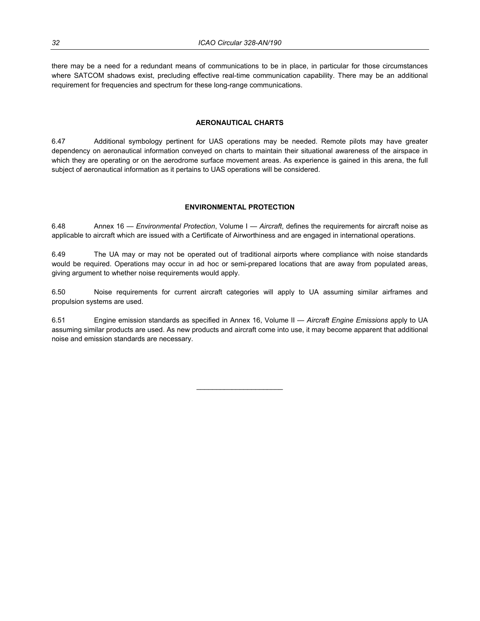there may be a need for a redundant means of communications to be in place, in particular for those circumstances where SATCOM shadows exist, precluding effective real-time communication capability. There may be an additional requirement for frequencies and spectrum for these long-range communications.

## **AERONAUTICAL CHARTS**

6.47 Additional symbology pertinent for UAS operations may be needed. Remote pilots may have greater dependency on aeronautical information conveyed on charts to maintain their situational awareness of the airspace in which they are operating or on the aerodrome surface movement areas. As experience is gained in this arena, the full subject of aeronautical information as it pertains to UAS operations will be considered.

## **ENVIRONMENTAL PROTECTION**

6.48 Annex 16 — *Environmental Protection*, Volume I — *Aircraft*, defines the requirements for aircraft noise as applicable to aircraft which are issued with a Certificate of Airworthiness and are engaged in international operations.

6.49 The UA may or may not be operated out of traditional airports where compliance with noise standards would be required. Operations may occur in ad hoc or semi-prepared locations that are away from populated areas, giving argument to whether noise requirements would apply.

6.50 Noise requirements for current aircraft categories will apply to UA assuming similar airframes and propulsion systems are used.

6.51 Engine emission standards as specified in Annex 16, Volume II — *Aircraft Engine Emissions* apply to UA assuming similar products are used. As new products and aircraft come into use, it may become apparent that additional noise and emission standards are necessary.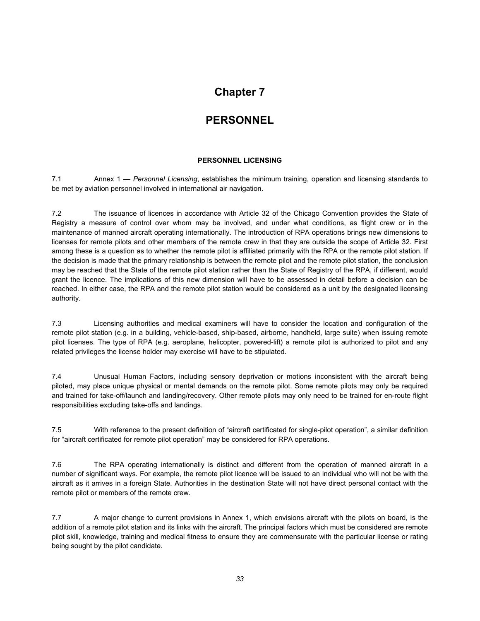# **Chapter 7**

# **PERSONNEL**

# **PERSONNEL LICENSING**

7.1 Annex 1 — *Personnel Licensing*, establishes the minimum training, operation and licensing standards to be met by aviation personnel involved in international air navigation.

7.2 The issuance of licences in accordance with Article 32 of the Chicago Convention provides the State of Registry a measure of control over whom may be involved, and under what conditions, as flight crew or in the maintenance of manned aircraft operating internationally. The introduction of RPA operations brings new dimensions to licenses for remote pilots and other members of the remote crew in that they are outside the scope of Article 32. First among these is a question as to whether the remote pilot is affiliated primarily with the RPA or the remote pilot station. If the decision is made that the primary relationship is between the remote pilot and the remote pilot station, the conclusion may be reached that the State of the remote pilot station rather than the State of Registry of the RPA, if different, would grant the licence. The implications of this new dimension will have to be assessed in detail before a decision can be reached. In either case, the RPA and the remote pilot station would be considered as a unit by the designated licensing authority.

7.3 Licensing authorities and medical examiners will have to consider the location and configuration of the remote pilot station (e.g. in a building, vehicle-based, ship-based, airborne, handheld, large suite) when issuing remote pilot licenses. The type of RPA (e.g. aeroplane, helicopter, powered-lift) a remote pilot is authorized to pilot and any related privileges the license holder may exercise will have to be stipulated.

7.4 Unusual Human Factors, including sensory deprivation or motions inconsistent with the aircraft being piloted, may place unique physical or mental demands on the remote pilot. Some remote pilots may only be required and trained for take-off/launch and landing/recovery. Other remote pilots may only need to be trained for en-route flight responsibilities excluding take-offs and landings.

7.5 With reference to the present definition of "aircraft certificated for single-pilot operation", a similar definition for "aircraft certificated for remote pilot operation" may be considered for RPA operations.

7.6 The RPA operating internationally is distinct and different from the operation of manned aircraft in a number of significant ways. For example, the remote pilot licence will be issued to an individual who will not be with the aircraft as it arrives in a foreign State. Authorities in the destination State will not have direct personal contact with the remote pilot or members of the remote crew.

7.7 A major change to current provisions in Annex 1, which envisions aircraft with the pilots on board, is the addition of a remote pilot station and its links with the aircraft. The principal factors which must be considered are remote pilot skill, knowledge, training and medical fitness to ensure they are commensurate with the particular license or rating being sought by the pilot candidate.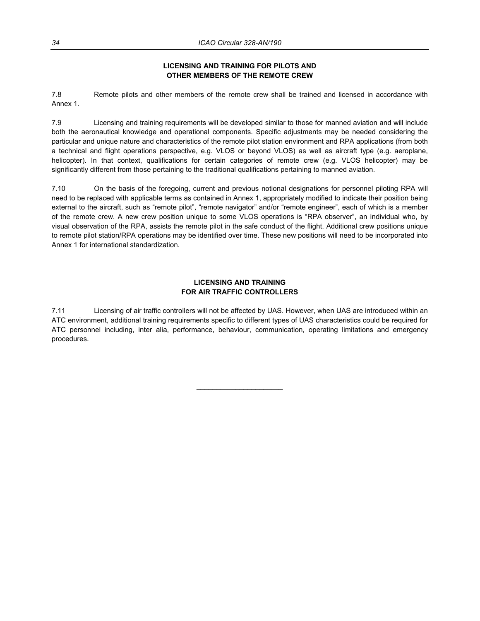# **LICENSING AND TRAINING FOR PILOTS AND OTHER MEMBERS OF THE REMOTE CREW**

7.8 Remote pilots and other members of the remote crew shall be trained and licensed in accordance with Annex 1*.*

7.9 Licensing and training requirements will be developed similar to those for manned aviation and will include both the aeronautical knowledge and operational components. Specific adjustments may be needed considering the particular and unique nature and characteristics of the remote pilot station environment and RPA applications (from both a technical and flight operations perspective, e.g. VLOS or beyond VLOS) as well as aircraft type (e.g. aeroplane, helicopter). In that context, qualifications for certain categories of remote crew (e.g. VLOS helicopter) may be significantly different from those pertaining to the traditional qualifications pertaining to manned aviation.

7.10 On the basis of the foregoing, current and previous notional designations for personnel piloting RPA will need to be replaced with applicable terms as contained in Annex 1, appropriately modified to indicate their position being external to the aircraft, such as "remote pilot", "remote navigator" and/or "remote engineer", each of which is a member of the remote crew. A new crew position unique to some VLOS operations is "RPA observer", an individual who, by visual observation of the RPA, assists the remote pilot in the safe conduct of the flight. Additional crew positions unique to remote pilot station/RPA operations may be identified over time. These new positions will need to be incorporated into Annex 1 for international standardization.

## **LICENSING AND TRAINING FOR AIR TRAFFIC CONTROLLERS**

7.11 Licensing of air traffic controllers will not be affected by UAS. However, when UAS are introduced within an ATC environment, additional training requirements specific to different types of UAS characteristics could be required for ATC personnel including, inter alia, performance, behaviour, communication, operating limitations and emergency procedures.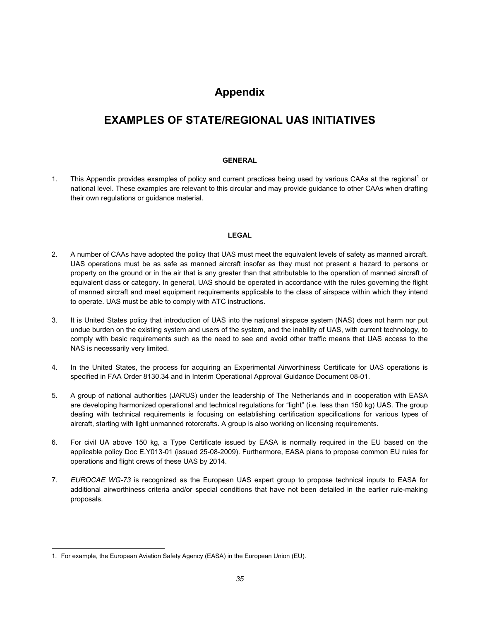# **Appendix**

# **EXAMPLES OF STATE/REGIONAL UAS INITIATIVES**

## **GENERAL**

1. This Appendix provides examples of policy and current practices being used by various CAAs at the regional<sup>1</sup> or national level. These examples are relevant to this circular and may provide guidance to other CAAs when drafting their own regulations or guidance material.

## **LEGAL**

- 2. A number of CAAs have adopted the policy that UAS must meet the equivalent levels of safety as manned aircraft. UAS operations must be as safe as manned aircraft insofar as they must not present a hazard to persons or property on the ground or in the air that is any greater than that attributable to the operation of manned aircraft of equivalent class or category. In general, UAS should be operated in accordance with the rules governing the flight of manned aircraft and meet equipment requirements applicable to the class of airspace within which they intend to operate. UAS must be able to comply with ATC instructions.
- 3. It is United States policy that introduction of UAS into the national airspace system (NAS) does not harm nor put undue burden on the existing system and users of the system, and the inability of UAS, with current technology, to comply with basic requirements such as the need to see and avoid other traffic means that UAS access to the NAS is necessarily very limited.
- 4. In the United States, the process for acquiring an Experimental Airworthiness Certificate for UAS operations is specified in FAA Order 8130.34 and in Interim Operational Approval Guidance Document 08-01.
- 5. A group of national authorities (JARUS) under the leadership of The Netherlands and in cooperation with EASA are developing harmonized operational and technical regulations for "light" (i.e. less than 150 kg) UAS. The group dealing with technical requirements is focusing on establishing certification specifications for various types of aircraft, starting with light unmanned rotorcrafts. A group is also working on licensing requirements.
- 6. For civil UA above 150 kg, a Type Certificate issued by EASA is normally required in the EU based on the applicable policy Doc E.Y013-01 (issued 25-08-2009). Furthermore, EASA plans to propose common EU rules for operations and flight crews of these UAS by 2014.
- 7. *EUROCAE WG-73* is recognized as the European UAS expert group to propose technical inputs to EASA for additional airworthiness criteria and/or special conditions that have not been detailed in the earlier rule-making proposals.

 $\overline{a}$ 

<sup>1.</sup> For example, the European Aviation Safety Agency (EASA) in the European Union (EU).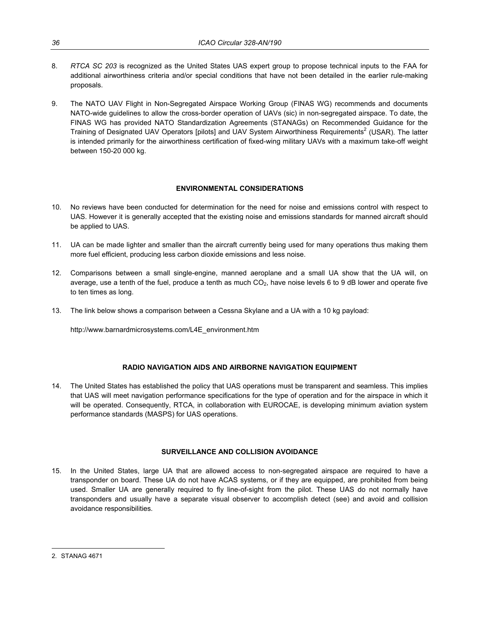- 8. *RTCA SC 203* is recognized as the United States UAS expert group to propose technical inputs to the FAA for additional airworthiness criteria and/or special conditions that have not been detailed in the earlier rule-making proposals.
- 9. The NATO UAV Flight in Non-Segregated Airspace Working Group (FINAS WG) recommends and documents NATO-wide guidelines to allow the cross-border operation of UAVs (sic) in non-segregated airspace. To date, the FINAS WG has provided NATO Standardization Agreements (STANAGs) on Recommended Guidance for the Training of Designated UAV Operators [pilots] and UAV System Airworthiness Requirements<sup>2</sup> (USAR). The latter is intended primarily for the airworthiness certification of fixed-wing military UAVs with a maximum take-off weight between 150-20 000 kg.

# **ENVIRONMENTAL CONSIDERATIONS**

- 10. No reviews have been conducted for determination for the need for noise and emissions control with respect to UAS. However it is generally accepted that the existing noise and emissions standards for manned aircraft should be applied to UAS.
- 11. UA can be made lighter and smaller than the aircraft currently being used for many operations thus making them more fuel efficient, producing less carbon dioxide emissions and less noise.
- 12. Comparisons between a small single-engine, manned aeroplane and a small UA show that the UA will, on average, use a tenth of the fuel, produce a tenth as much  $CO<sub>2</sub>$ , have noise levels 6 to 9 dB lower and operate five to ten times as long.
- 13. The link below shows a comparison between a Cessna Skylane and a UA with a 10 kg payload:

http://www.barnardmicrosystems.com/L4E\_environment.htm

# **RADIO NAVIGATION AIDS AND AIRBORNE NAVIGATION EQUIPMENT**

14. The United States has established the policy that UAS operations must be transparent and seamless. This implies that UAS will meet navigation performance specifications for the type of operation and for the airspace in which it will be operated. Consequently, RTCA, in collaboration with EUROCAE, is developing minimum aviation system performance standards (MASPS) for UAS operations.

# **SURVEILLANCE AND COLLISION AVOIDANCE**

15. In the United States, large UA that are allowed access to non-segregated airspace are required to have a transponder on board. These UA do not have ACAS systems, or if they are equipped, are prohibited from being used. Smaller UA are generally required to fly line-of-sight from the pilot. These UAS do not normally have transponders and usually have a separate visual observer to accomplish detect (see) and avoid and collision avoidance responsibilities.

 $\overline{a}$ 

<sup>2.</sup> STANAG 4671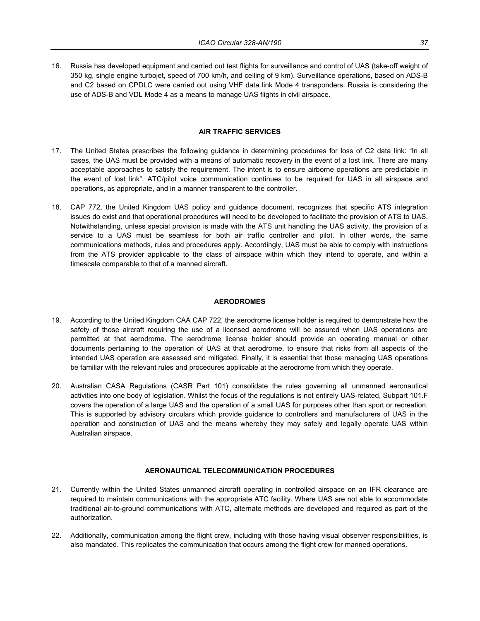16. Russia has developed equipment and carried out test flights for surveillance and control of UAS (take-off weight of 350 kg, single engine turbojet, speed of 700 km/h, and ceiling of 9 km). Surveillance operations, based on ADS-B and C2 based on CPDLC were carried out using VHF data link Mode 4 transponders. Russia is considering the use of ADS-B and VDL Mode 4 as a means to manage UAS flights in civil airspace.

#### **AIR TRAFFIC SERVICES**

- 17. The United States prescribes the following guidance in determining procedures for loss of C2 data link: "In all cases, the UAS must be provided with a means of automatic recovery in the event of a lost link. There are many acceptable approaches to satisfy the requirement. The intent is to ensure airborne operations are predictable in the event of lost link". ATC/pilot voice communication continues to be required for UAS in all airspace and operations, as appropriate, and in a manner transparent to the controller.
- 18. CAP 772, the United Kingdom UAS policy and guidance document, recognizes that specific ATS integration issues do exist and that operational procedures will need to be developed to facilitate the provision of ATS to UAS. Notwithstanding, unless special provision is made with the ATS unit handling the UAS activity, the provision of a service to a UAS must be seamless for both air traffic controller and pilot. In other words, the same communications methods, rules and procedures apply. Accordingly, UAS must be able to comply with instructions from the ATS provider applicable to the class of airspace within which they intend to operate, and within a timescale comparable to that of a manned aircraft.

#### **AERODROMES**

- 19. According to the United Kingdom CAA CAP 722, the aerodrome license holder is required to demonstrate how the safety of those aircraft requiring the use of a licensed aerodrome will be assured when UAS operations are permitted at that aerodrome. The aerodrome license holder should provide an operating manual or other documents pertaining to the operation of UAS at that aerodrome, to ensure that risks from all aspects of the intended UAS operation are assessed and mitigated. Finally, it is essential that those managing UAS operations be familiar with the relevant rules and procedures applicable at the aerodrome from which they operate.
- 20. Australian CASA Regulations (CASR Part 101) consolidate the rules governing all unmanned aeronautical activities into one body of legislation. Whilst the focus of the regulations is not entirely UAS-related, Subpart 101.F covers the operation of a large UAS and the operation of a small UAS for purposes other than sport or recreation. This is supported by advisory circulars which provide guidance to controllers and manufacturers of UAS in the operation and construction of UAS and the means whereby they may safely and legally operate UAS within Australian airspace.

#### **AERONAUTICAL TELECOMMUNICATION PROCEDURES**

- 21. Currently within the United States unmanned aircraft operating in controlled airspace on an IFR clearance are required to maintain communications with the appropriate ATC facility. Where UAS are not able to accommodate traditional air-to-ground communications with ATC, alternate methods are developed and required as part of the authorization.
- 22. Additionally, communication among the flight crew, including with those having visual observer responsibilities, is also mandated. This replicates the communication that occurs among the flight crew for manned operations.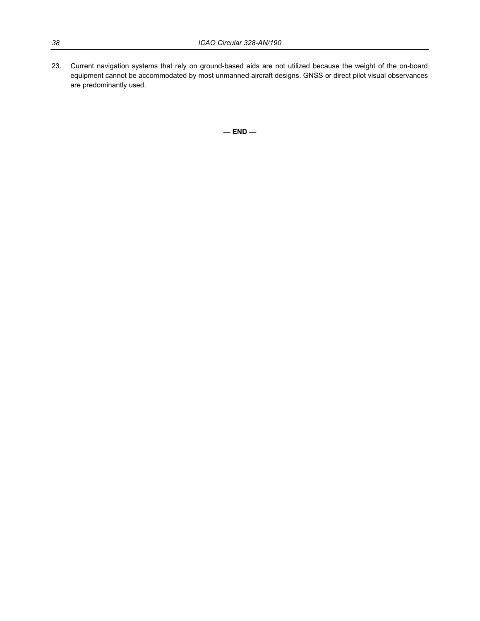23. Current navigation systems that rely on ground-based aids are not utilized because the weight of the on-board equipment cannot be accommodated by most unmanned aircraft designs. GNSS or direct pilot visual observances are predominantly used.

**— END —**